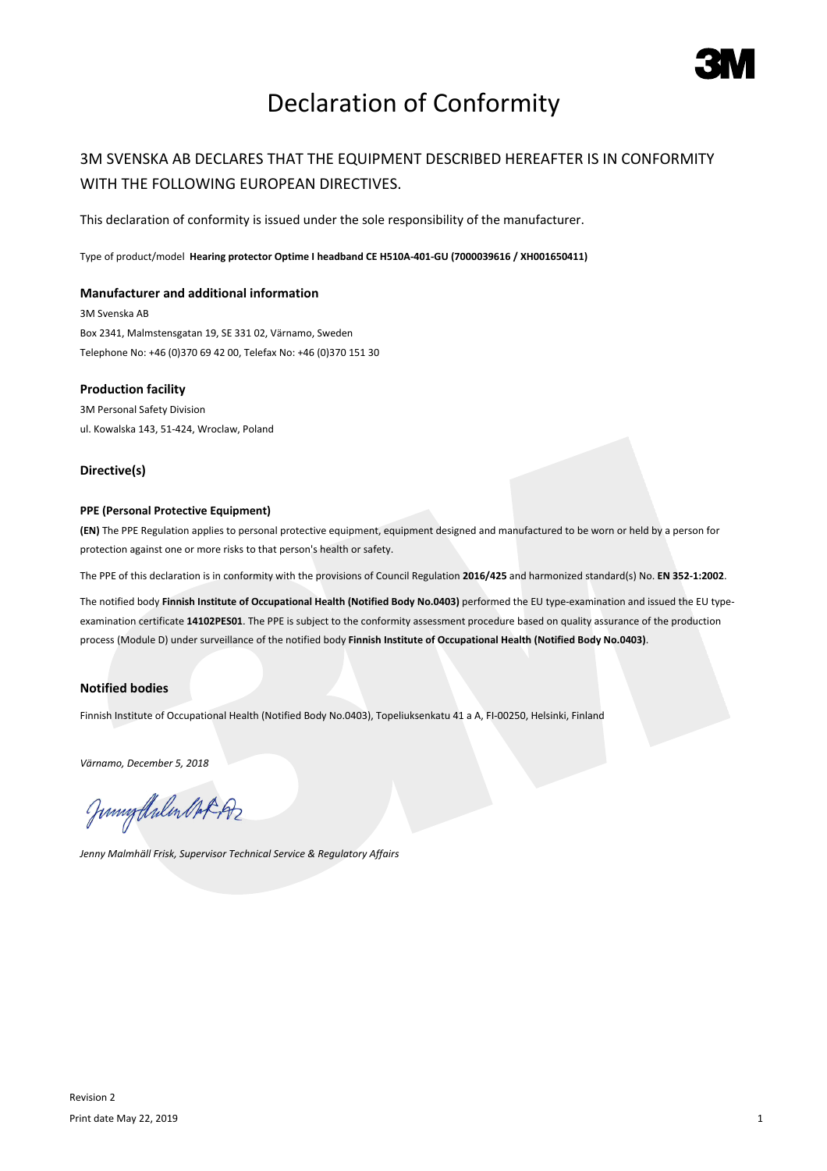

# Declaration of Conformity

## 3M SVENSKA AB DECLARES THAT THE EQUIPMENT DESCRIBED HEREAFTER IS IN CONFORMITY WITH THE FOLLOWING EUROPEAN DIRECTIVES.

This declaration of conformity is issued under the sole responsibility of the manufacturer.

Type of product/model **Hearing protector Optime I headband CE H510A-401-GU (7000039616 / XH001650411)**

### **Manufacturer and additional information**

3M Svenska AB Box 2341, Malmstensgatan 19, SE 331 02, Värnamo, Sweden Telephone No: +46 (0)370 69 42 00, Telefax No: +46 (0)370 151 30

#### **Production facility**

3M Personal Safety Division ul. Kowalska 143, 51-424, Wroclaw, Poland

#### **Directive(s)**

#### **PPE (Personal Protective Equipment)**

**(EN)** The PPE Regulation applies to personal protective equipment, equipment designed and manufactured to be worn or held by a person for protection against one or more risks to that person's health or safety.

The PPE of this declaration is in conformity with the provisions of Council Regulation **2016/425** and harmonized standard(s) No. **EN 352-1:2002**.

The notified body **Finnish Institute of Occupational Health (Notified Body No.0403)** performed the EU type-examination and issued the EU typeexamination certificate **14102PES01**. The PPE is subject to the conformity assessment procedure based on quality assurance of the production process (Module D) under surveillance of the notified body **Finnish Institute of Occupational Health (Notified Body No.0403)**.

### **Notified bodies**

Finnish Institute of Occupational Health (Notified Body No.0403), Topeliuksenkatu 41 a A, FI-00250, Helsinki, Finland

*Värnamo, December 5, 2018*

Junigalulen Oct 192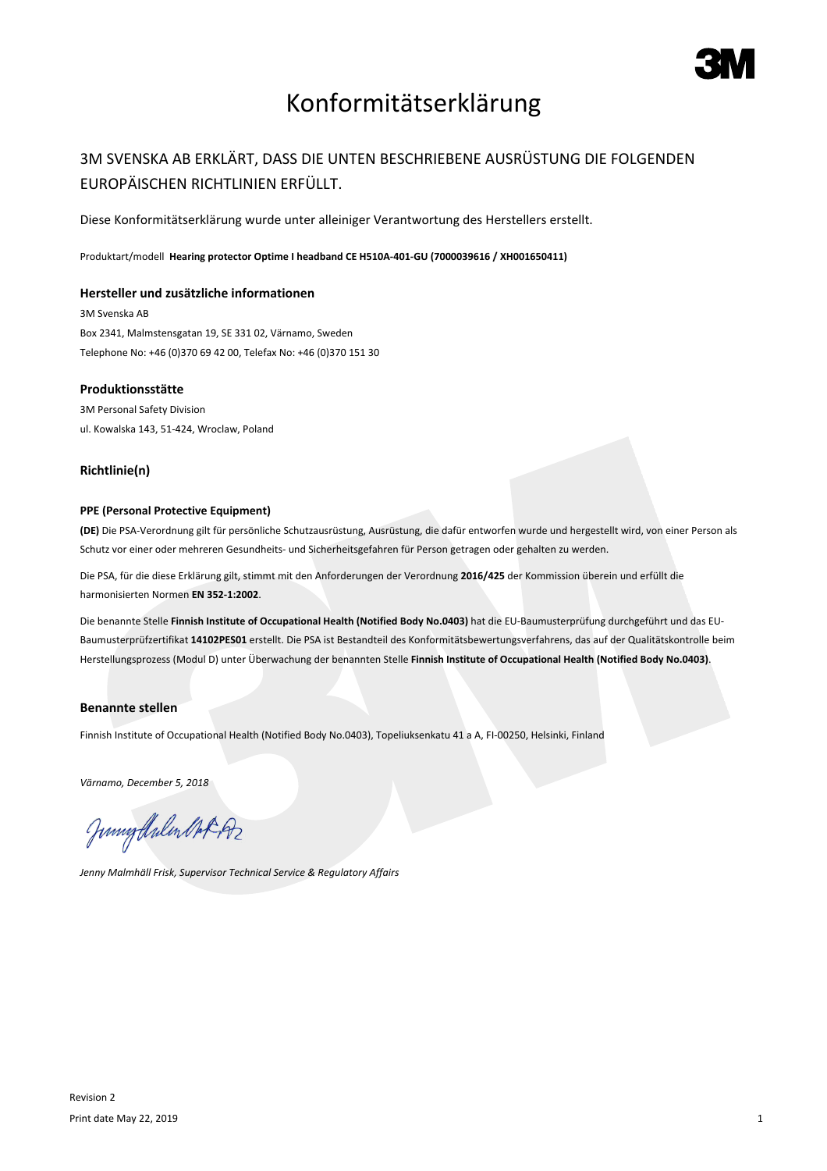

## Konformitätserklärung

## 3M SVENSKA AB ERKLÄRT, DASS DIE UNTEN BESCHRIEBENE AUSRÜSTUNG DIE FOLGENDEN EUROPÄISCHEN RICHTLINIEN ERFÜLLT.

Diese Konformitätserklärung wurde unter alleiniger Verantwortung des Herstellers erstellt.

Produktart/modell **Hearing protector Optime I headband CE H510A-401-GU (7000039616 / XH001650411)**

#### **Hersteller und zusätzliche informationen**

3M Svenska AB Box 2341, Malmstensgatan 19, SE 331 02, Värnamo, Sweden Telephone No: +46 (0)370 69 42 00, Telefax No: +46 (0)370 151 30

#### **Produktionsstätte**

3M Personal Safety Division ul. Kowalska 143, 51-424, Wroclaw, Poland

#### **Richtlinie(n)**

#### **PPE (Personal Protective Equipment)**

**(DE)** Die PSA-Verordnung gilt für persönliche Schutzausrüstung, Ausrüstung, die dafür entworfen wurde und hergestellt wird, von einer Person als Schutz vor einer oder mehreren Gesundheits- und Sicherheitsgefahren für Person getragen oder gehalten zu werden.

Die PSA, für die diese Erklärung gilt, stimmt mit den Anforderungen der Verordnung **2016/425** der Kommission überein und erfüllt die harmonisierten Normen **EN 352-1:2002**.

Die benannte Stelle **Finnish Institute of Occupational Health (Notified Body No.0403)** hat die EU-Baumusterprüfung durchgeführt und das EU-Baumusterprüfzertifikat **14102PES01** erstellt. Die PSA ist Bestandteil des Konformitätsbewertungsverfahrens, das auf der Qualitätskontrolle beim Herstellungsprozess (Modul D) unter Überwachung der benannten Stelle **Finnish Institute of Occupational Health (Notified Body No.0403)**.

#### **Benannte stellen**

Finnish Institute of Occupational Health (Notified Body No.0403), Topeliuksenkatu 41 a A, FI-00250, Helsinki, Finland

*Värnamo, December 5, 2018*

Junnytlalen Not Az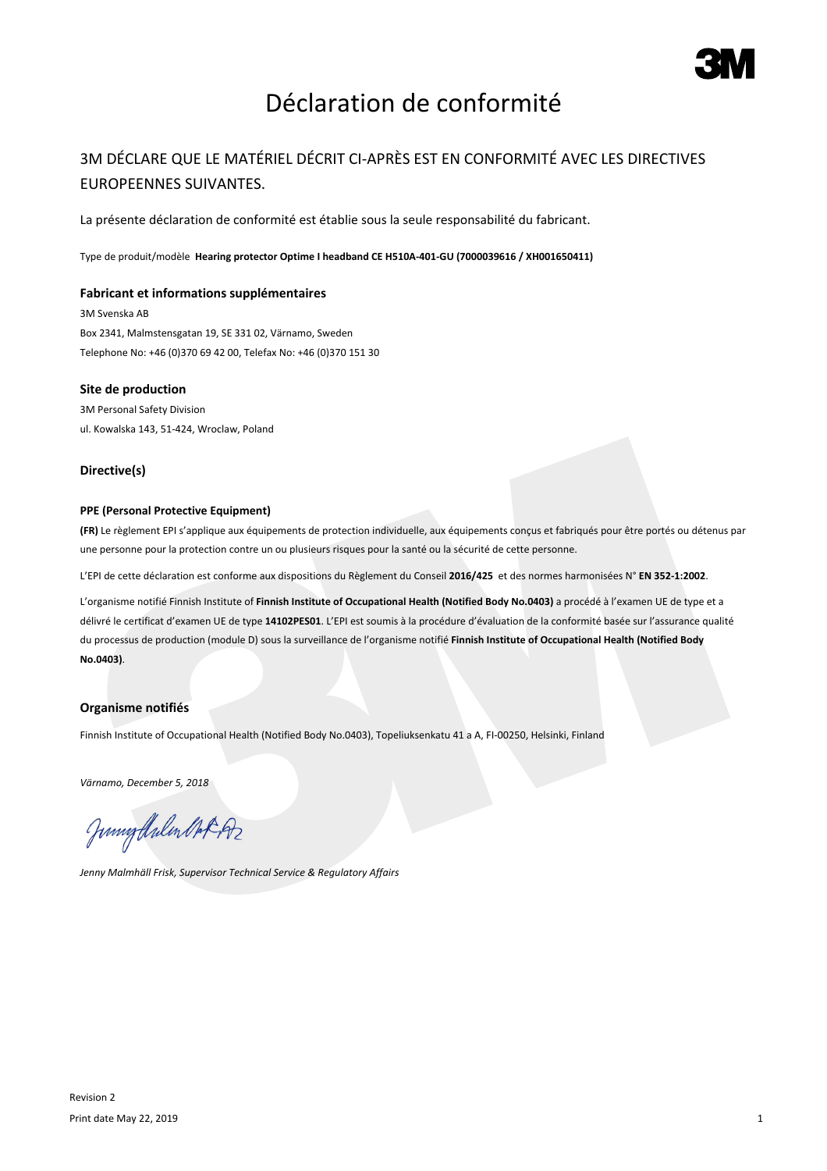

# Déclaration de conformité

## 3M DÉCLARE QUE LE MATÉRIEL DÉCRIT CI-APRÈS EST EN CONFORMITÉ AVEC LES DIRECTIVES EUROPEENNES SUIVANTES.

La présente déclaration de conformité est établie sous la seule responsabilité du fabricant.

Type de produit/modèle **Hearing protector Optime I headband CE H510A-401-GU (7000039616 / XH001650411)**

#### **Fabricant et informations supplémentaires**

3M Svenska AB Box 2341, Malmstensgatan 19, SE 331 02, Värnamo, Sweden Telephone No: +46 (0)370 69 42 00, Telefax No: +46 (0)370 151 30

#### **Site de production**

3M Personal Safety Division ul. Kowalska 143, 51-424, Wroclaw, Poland

#### **Directive(s)**

#### **PPE (Personal Protective Equipment)**

**(FR)** Le règlement EPI s'applique aux équipements de protection individuelle, aux équipements conçus et fabriqués pour être portés ou détenus par une personne pour la protection contre un ou plusieurs risques pour la santé ou la sécurité de cette personne.

L'EPI de cette déclaration est conforme aux dispositions du Règlement du Conseil **2016/425** et des normes harmonisées N° **EN 352-1:2002**.

L'organisme notifié Finnish Institute of **Finnish Institute of Occupational Health (Notified Body No.0403)** a procédé à l'examen UE de type et a délivré le certificat d'examen UE de type **14102PES01**. L'EPI est soumis à la procédure d'évaluation de la conformité basée sur l'assurance qualité du processus de production (module D) sous la surveillance de l'organisme notifié **Finnish Institute of Occupational Health (Notified Body No.0403)**.

#### **Organisme notifiés**

Finnish Institute of Occupational Health (Notified Body No.0403), Topeliuksenkatu 41 a A, FI-00250, Helsinki, Finland

*Värnamo, December 5, 2018*

Junnytlalen Not Az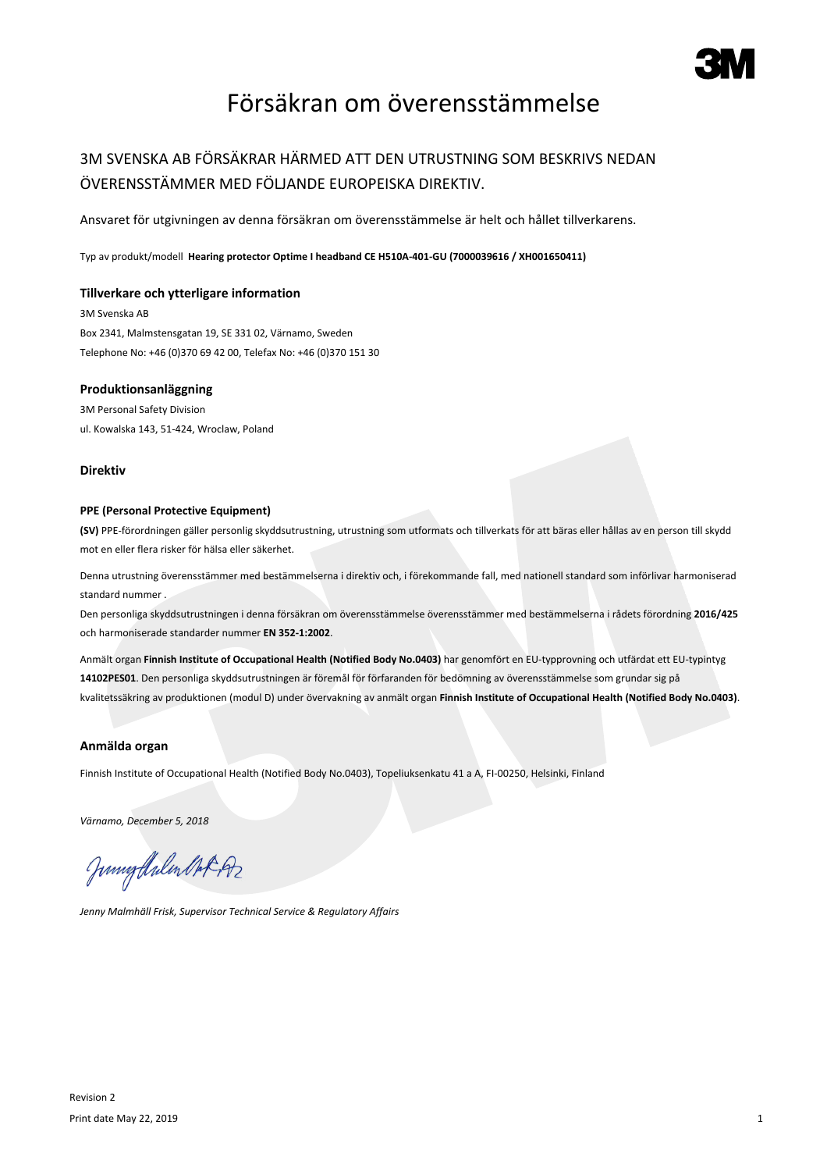

## Försäkran om överensstämmelse

## 3M SVENSKA AB FÖRSÄKRAR HÄRMED ATT DEN UTRUSTNING SOM BESKRIVS NEDAN ÖVERENSSTÄMMER MED FÖLJANDE EUROPEISKA DIREKTIV.

Ansvaret för utgivningen av denna försäkran om överensstämmelse är helt och hållet tillverkarens.

Typ av produkt/modell **Hearing protector Optime I headband CE H510A-401-GU (7000039616 / XH001650411)**

#### **Tillverkare och ytterligare information**

3M Svenska AB Box 2341, Malmstensgatan 19, SE 331 02, Värnamo, Sweden Telephone No: +46 (0)370 69 42 00, Telefax No: +46 (0)370 151 30

#### **Produktionsanläggning**

3M Personal Safety Division ul. Kowalska 143, 51-424, Wroclaw, Poland

#### **Direktiv**

#### **PPE (Personal Protective Equipment)**

**(SV)** PPE-förordningen gäller personlig skyddsutrustning, utrustning som utformats och tillverkats för att bäras eller hållas av en person till skydd mot en eller flera risker för hälsa eller säkerhet.

Denna utrustning överensstämmer med bestämmelserna i direktiv och, i förekommande fall, med nationell standard som införlivar harmoniserad standard nummer .

Den personliga skyddsutrustningen i denna försäkran om överensstämmelse överensstämmer med bestämmelserna i rådets förordning **2016/425** och harmoniserade standarder nummer **EN 352-1:2002**.

Anmält organ **Finnish Institute of Occupational Health (Notified Body No.0403)** har genomfört en EU-typprovning och utfärdat ett EU-typintyg **14102PES01**. Den personliga skyddsutrustningen är föremål för förfaranden för bedömning av överensstämmelse som grundar sig på kvalitetssäkring av produktionen (modul D) under övervakning av anmält organ **Finnish Institute of Occupational Health (Notified Body No.0403)**.

#### **Anmälda organ**

Finnish Institute of Occupational Health (Notified Body No.0403), Topeliuksenkatu 41 a A, FI-00250, Helsinki, Finland

*Värnamo, December 5, 2018*

Junigalulen Oct 192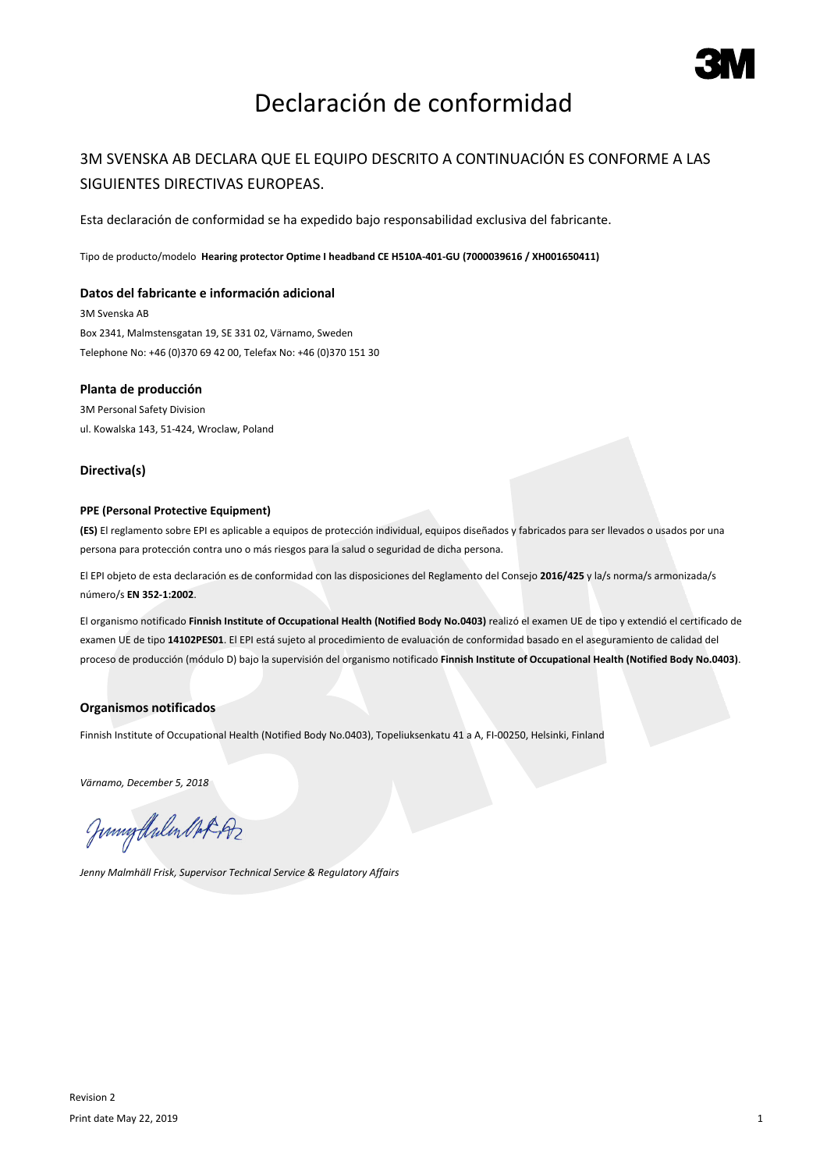

# Declaración de conformidad

### 3M SVENSKA AB DECLARA QUE EL EQUIPO DESCRITO A CONTINUACIÓN ES CONFORME A LAS SIGUIENTES DIRECTIVAS EUROPEAS.

Esta declaración de conformidad se ha expedido bajo responsabilidad exclusiva del fabricante.

Tipo de producto/modelo **Hearing protector Optime I headband CE H510A-401-GU (7000039616 / XH001650411)**

#### **Datos del fabricante e información adicional**

3M Svenska AB Box 2341, Malmstensgatan 19, SE 331 02, Värnamo, Sweden Telephone No: +46 (0)370 69 42 00, Telefax No: +46 (0)370 151 30

#### **Planta de producción**

3M Personal Safety Division ul. Kowalska 143, 51-424, Wroclaw, Poland

#### **Directiva(s)**

#### **PPE (Personal Protective Equipment)**

**(ES)** El reglamento sobre EPI es aplicable a equipos de protección individual, equipos diseñados y fabricados para ser llevados o usados por una persona para protección contra uno o más riesgos para la salud o seguridad de dicha persona.

El EPI objeto de esta declaración es de conformidad con las disposiciones del Reglamento del Consejo **2016/425** y la/s norma/s armonizada/s número/s **EN 352-1:2002**.

El organismo notificado **Finnish Institute of Occupational Health (Notified Body No.0403)** realizó el examen UE de tipo y extendió el certificado de examen UE de tipo **14102PES01**. El EPI está sujeto al procedimiento de evaluación de conformidad basado en el aseguramiento de calidad del proceso de producción (módulo D) bajo la supervisión del organismo notificado **Finnish Institute of Occupational Health (Notified Body No.0403)**.

#### **Organismos notificados**

Finnish Institute of Occupational Health (Notified Body No.0403), Topeliuksenkatu 41 a A, FI-00250, Helsinki, Finland

*Värnamo, December 5, 2018*

Junnytlalen Not Az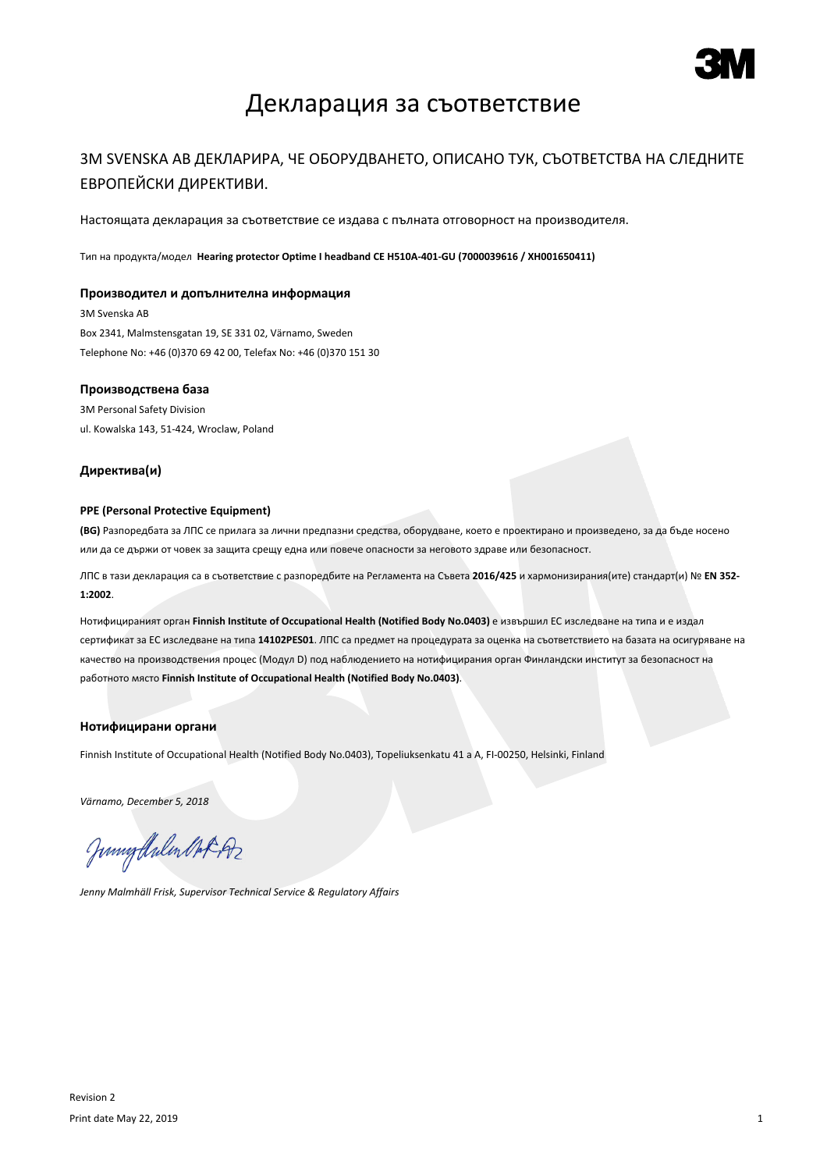

## Декларация за съответствие

### 3M SVENSKA AB ДЕКЛАРИРА, ЧЕ ОБОРУДВАНЕТО, ОПИСАНО ТУК, СЪОТВЕТСТВА НА СЛЕДНИТЕ ЕВРОПЕЙСКИ ДИРЕКТИВИ.

Настоящата декларация за съответствие се издава с пълната отговорност на производителя.

Тип на продукта/модел **Hearing protector Optime I headband CE H510A-401-GU (7000039616 / XH001650411)**

#### **Производител и допълнителна информация**

3M Svenska AB Box 2341, Malmstensgatan 19, SE 331 02, Värnamo, Sweden Telephone No: +46 (0)370 69 42 00, Telefax No: +46 (0)370 151 30

#### **Производствена база**

3M Personal Safety Division ul. Kowalska 143, 51-424, Wroclaw, Poland

#### **Директива(и)**

#### **PPE (Personal Protective Equipment)**

**(BG)** Разпоредбата за ЛПС се прилага за лични предпазни средства, оборудване, което е проектирано и произведено, за да бъде носено или да се държи от човек за защита срещу една или повече опасности за неговото здраве или безопасност.

ЛПС в тази декларация са в съответствие с разпоредбите на Регламента на Съвета **2016/425** и хармонизирания(ите) стандарт(и) № **EN 352- 1:2002**.

Нотифицираният орган **Finnish Institute of Occupational Health (Notified Body No.0403)** е извършил ЕС изследване на типа и е издал сертификат за ЕС изследване на типа **14102PES01**. ЛПС са предмет на процедурата за оценка на съответствието на базата на осигуряване на качество на производствения процес (Модул D) под наблюдението на нотифицирания орган Финландски институт за безопасност на работното място **Finnish Institute of Occupational Health (Notified Body No.0403)**.

#### **Нотифицирани органи**

Finnish Institute of Occupational Health (Notified Body No.0403), Topeliuksenkatu 41 a A, FI-00250, Helsinki, Finland

*Värnamo, December 5, 2018*

Junigthalen Mot 192

*Jenny Malmhäll Frisk, Supervisor Technical Service & Regulatory Affairs*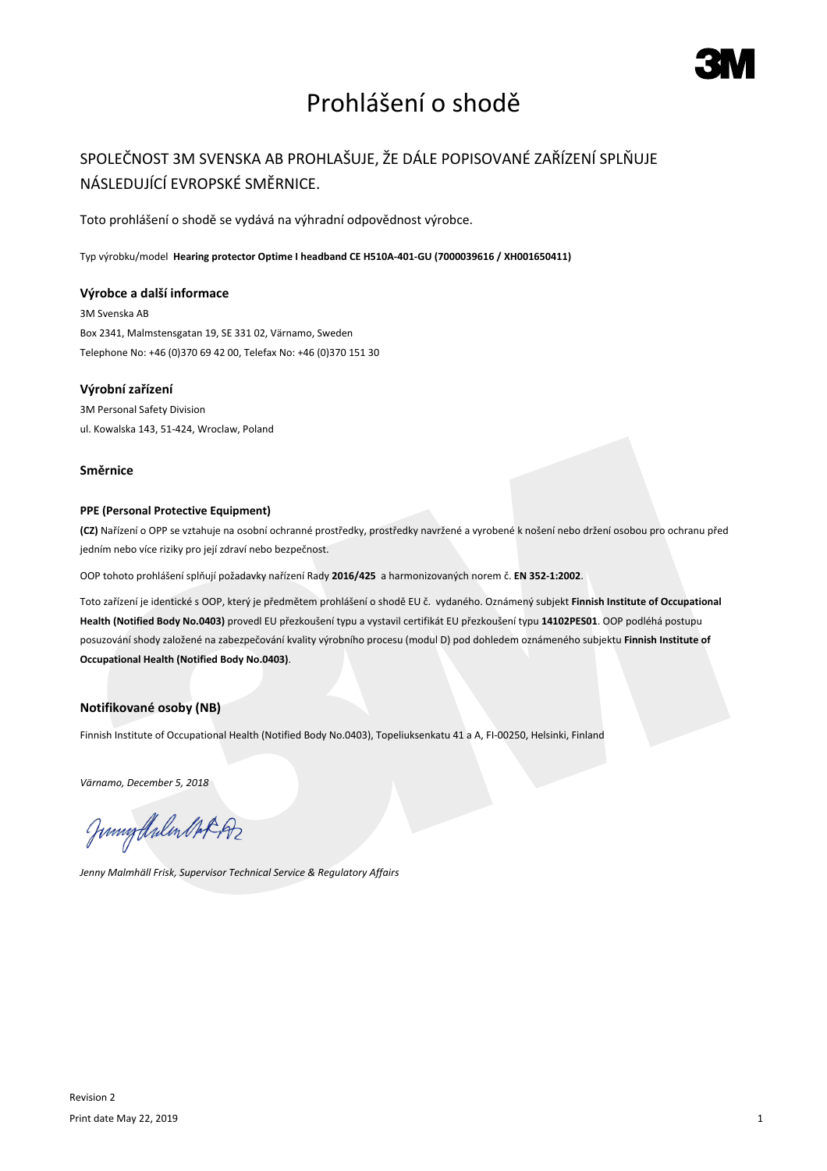# Prohlášení o shodě

## SPOLEČNOST 3M SVENSKA AB PROHLAŠUJE, ŽE DÁLE POPISOVANÉ ZAŘÍZENÍ SPLŇUJE NÁSLEDUJÍCÍ EVROPSKÉ SMĚRNICE.

Toto prohlášení o shodě se vydává na výhradní odpovědnost výrobce.

Typ výrobku/model **Hearing protector Optime I headband CE H510A-401-GU (7000039616 / XH001650411)**

#### **Výrobce a další informace**

3M Svenska AB Box 2341, Malmstensgatan 19, SE 331 02, Värnamo, Sweden Telephone No: +46 (0)370 69 42 00, Telefax No: +46 (0)370 151 30

### **Výrobní zařízení**

3M Personal Safety Division ul. Kowalska 143, 51-424, Wroclaw, Poland

#### **Směrnice**

#### **PPE (Personal Protective Equipment)**

**(CZ)** Nařízení o OPP se vztahuje na osobní ochranné prostředky, prostředky navržené a vyrobené k nošení nebo držení osobou pro ochranu před jedním nebo více riziky pro její zdraví nebo bezpečnost.

OOP tohoto prohlášení splňují požadavky nařízení Rady **2016/425** a harmonizovaných norem č. **EN 352-1:2002**.

Toto zařízení je identické s OOP, který je předmětem prohlášení o shodě EU č. vydaného. Oznámený subjekt **Finnish Institute of Occupational Health (Notified Body No.0403)** provedl EU přezkoušení typu a vystavil certifikát EU přezkoušení typu **14102PES01**. OOP podléhá postupu posuzování shody založené na zabezpečování kvality výrobního procesu (modul D) pod dohledem oznámeného subjektu **Finnish Institute of Occupational Health (Notified Body No.0403)**.

### **Notifikované osoby (NB)**

Finnish Institute of Occupational Health (Notified Body No.0403), Topeliuksenkatu 41 a A, FI-00250, Helsinki, Finland

*Värnamo, December 5, 2018*

Junnytlalen Not Az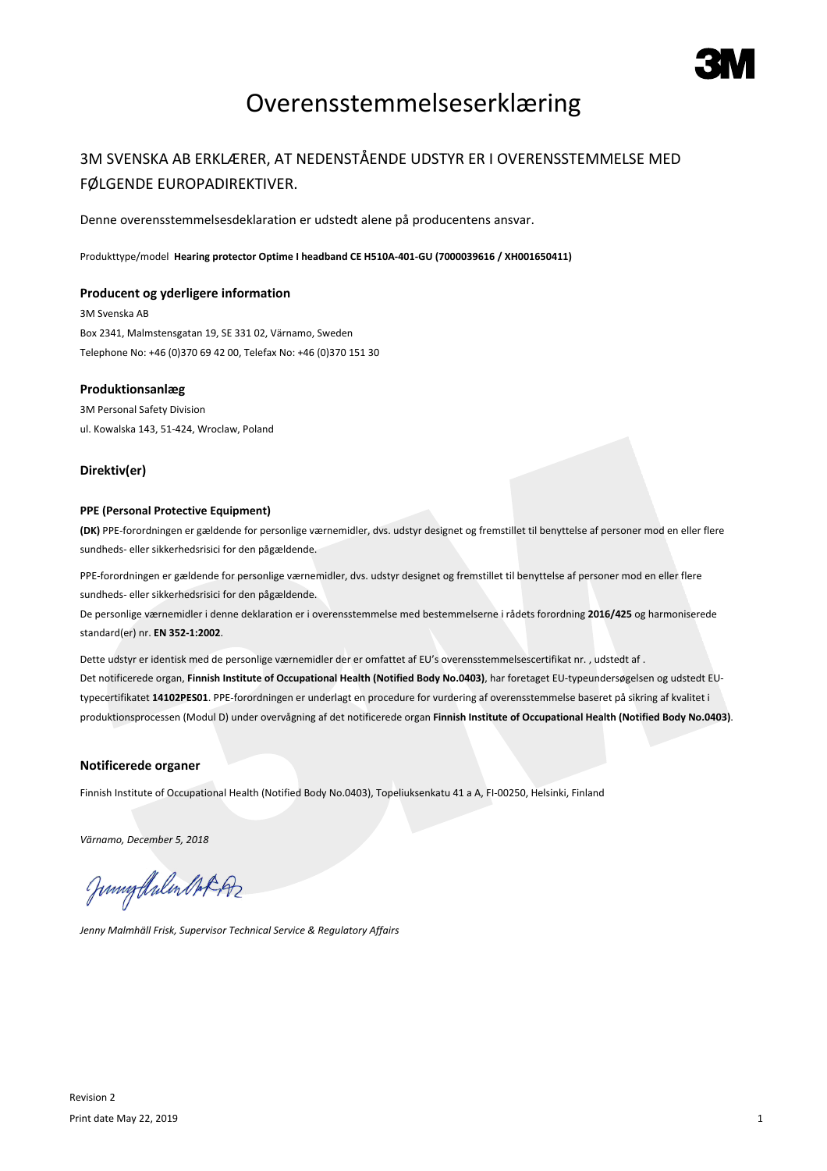

## Overensstemmelseserklæring

### 3M SVENSKA AB ERKLÆRER, AT NEDENSTÅENDE UDSTYR ER I OVERENSSTEMMELSE MED FØLGENDE EUROPADIREKTIVER.

Denne overensstemmelsesdeklaration er udstedt alene på producentens ansvar.

Produkttype/model **Hearing protector Optime I headband CE H510A-401-GU (7000039616 / XH001650411)**

#### **Producent og yderligere information**

3M Svenska AB Box 2341, Malmstensgatan 19, SE 331 02, Värnamo, Sweden Telephone No: +46 (0)370 69 42 00, Telefax No: +46 (0)370 151 30

#### **Produktionsanlæg**

3M Personal Safety Division ul. Kowalska 143, 51-424, Wroclaw, Poland

#### **Direktiv(er)**

#### **PPE (Personal Protective Equipment)**

**(DK)** PPE-forordningen er gældende for personlige værnemidler, dvs. udstyr designet og fremstillet til benyttelse af personer mod en eller flere sundheds- eller sikkerhedsrisici for den pågældende.

PPE-forordningen er gældende for personlige værnemidler, dvs. udstyr designet og fremstillet til benyttelse af personer mod en eller flere sundheds- eller sikkerhedsrisici for den pågældende.

De personlige værnemidler i denne deklaration er i overensstemmelse med bestemmelserne i rådets forordning **2016/425** og harmoniserede standard(er) nr. **EN 352-1:2002**.

Dette udstyr er identisk med de personlige værnemidler der er omfattet af EU's overensstemmelsescertifikat nr. , udstedt af . Det notificerede organ, **Finnish Institute of Occupational Health (Notified Body No.0403)**, har foretaget EU-typeundersøgelsen og udstedt EUtypecertifikatet **14102PES01**. PPE-forordningen er underlagt en procedure for vurdering af overensstemmelse baseret på sikring af kvalitet i produktionsprocessen (Modul D) under overvågning af det notificerede organ **Finnish Institute of Occupational Health (Notified Body No.0403)**.

#### **Notificerede organer**

Finnish Institute of Occupational Health (Notified Body No.0403), Topeliuksenkatu 41 a A, FI-00250, Helsinki, Finland

*Värnamo, December 5, 2018*

Juniof Arlen Mot 192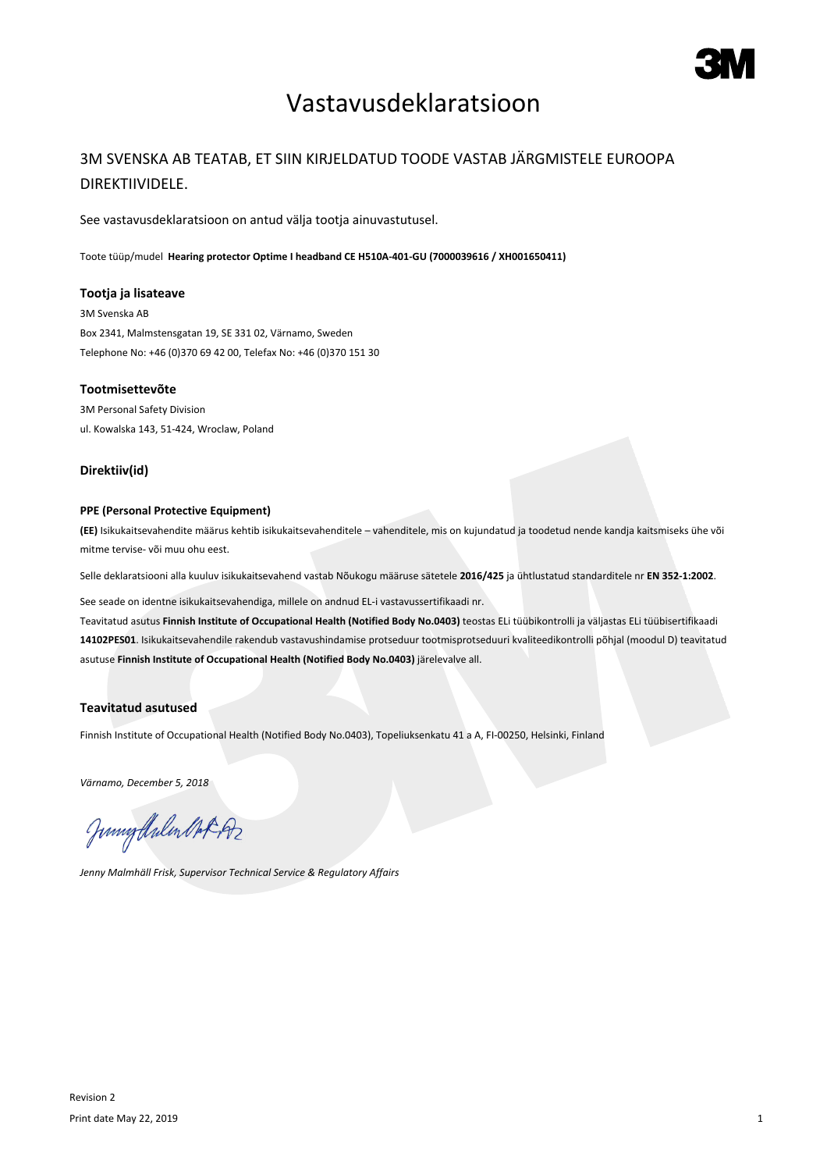## Vastavusdeklaratsioon

## 3M SVENSKA AB TEATAB, ET SIIN KIRJELDATUD TOODE VASTAB JÄRGMISTELE EUROOPA DIREKTIIVIDELE.

See vastavusdeklaratsioon on antud välja tootja ainuvastutusel.

Toote tüüp/mudel **Hearing protector Optime I headband CE H510A-401-GU (7000039616 / XH001650411)**

#### **Tootja ja lisateave**

3M Svenska AB Box 2341, Malmstensgatan 19, SE 331 02, Värnamo, Sweden Telephone No: +46 (0)370 69 42 00, Telefax No: +46 (0)370 151 30

#### **Tootmisettevõte**

3M Personal Safety Division ul. Kowalska 143, 51-424, Wroclaw, Poland

#### **Direktiiv(id)**

#### **PPE (Personal Protective Equipment)**

**(EE)** Isikukaitsevahendite määrus kehtib isikukaitsevahenditele – vahenditele, mis on kujundatud ja toodetud nende kandja kaitsmiseks ühe või mitme tervise- või muu ohu eest.

Selle deklaratsiooni alla kuuluv isikukaitsevahend vastab Nõukogu määruse sätetele **2016/425** ja ühtlustatud standarditele nr **EN 352-1:2002**.

See seade on identne isikukaitsevahendiga, millele on andnud EL-i vastavussertifikaadi nr.

Teavitatud asutus **Finnish Institute of Occupational Health (Notified Body No.0403)** teostas ELi tüübikontrolli ja väljastas ELi tüübisertifikaadi **14102PES01**. Isikukaitsevahendile rakendub vastavushindamise protseduur tootmisprotseduuri kvaliteedikontrolli põhjal (moodul D) teavitatud asutuse **Finnish Institute of Occupational Health (Notified Body No.0403)** järelevalve all.

#### **Teavitatud asutused**

Finnish Institute of Occupational Health (Notified Body No.0403), Topeliuksenkatu 41 a A, FI-00250, Helsinki, Finland

*Värnamo, December 5, 2018*

Junnytlalen Not Az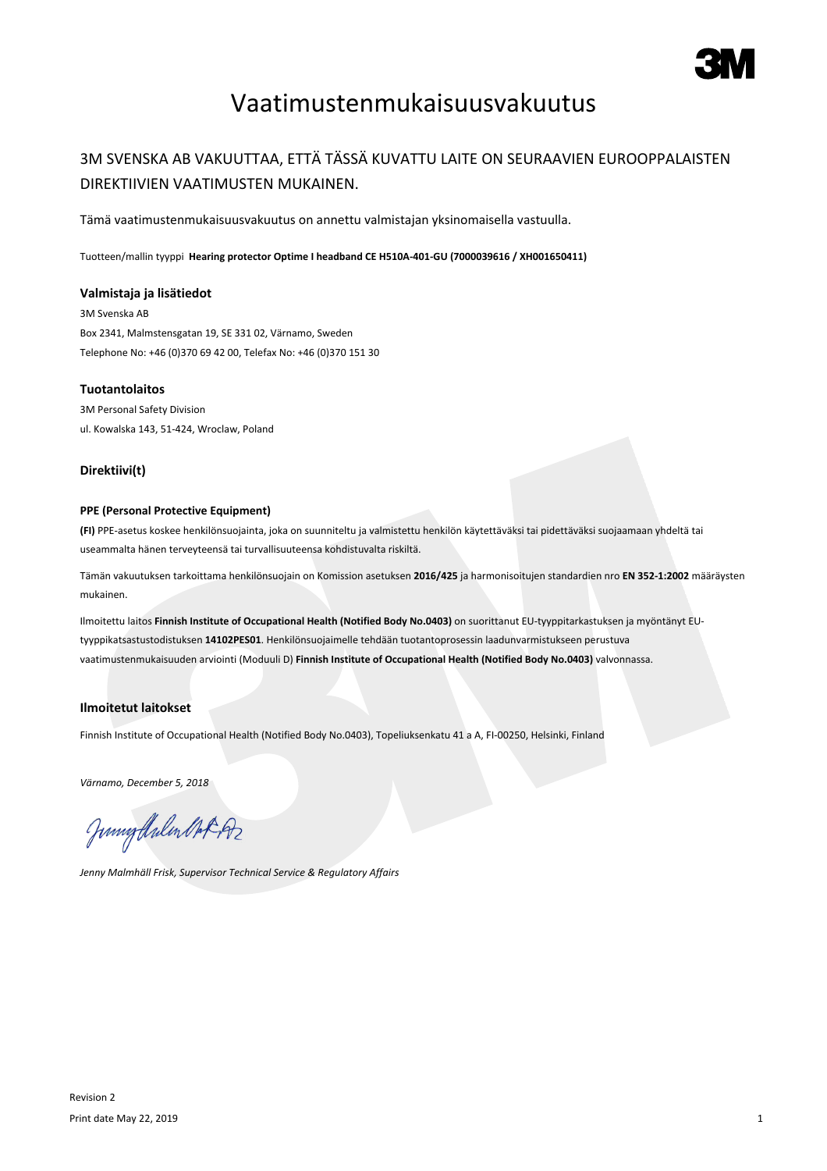

# Vaatimustenmukaisuusvakuutus

### 3M SVENSKA AB VAKUUTTAA, ETTÄ TÄSSÄ KUVATTU LAITE ON SEURAAVIEN EUROOPPALAISTEN DIREKTIIVIEN VAATIMUSTEN MUKAINEN.

Tämä vaatimustenmukaisuusvakuutus on annettu valmistajan yksinomaisella vastuulla.

Tuotteen/mallin tyyppi **Hearing protector Optime I headband CE H510A-401-GU (7000039616 / XH001650411)**

#### **Valmistaja ja lisätiedot**

3M Svenska AB Box 2341, Malmstensgatan 19, SE 331 02, Värnamo, Sweden Telephone No: +46 (0)370 69 42 00, Telefax No: +46 (0)370 151 30

#### **Tuotantolaitos**

3M Personal Safety Division ul. Kowalska 143, 51-424, Wroclaw, Poland

#### **Direktiivi(t)**

#### **PPE (Personal Protective Equipment)**

**(FI)** PPE-asetus koskee henkilönsuojainta, joka on suunniteltu ja valmistettu henkilön käytettäväksi tai pidettäväksi suojaamaan yhdeltä tai useammalta hänen terveyteensä tai turvallisuuteensa kohdistuvalta riskiltä.

Tämän vakuutuksen tarkoittama henkilönsuojain on Komission asetuksen **2016/425** ja harmonisoitujen standardien nro **EN 352-1:2002** määräysten mukainen.

Ilmoitettu laitos **Finnish Institute of Occupational Health (Notified Body No.0403)** on suorittanut EU-tyyppitarkastuksen ja myöntänyt EUtyyppikatsastustodistuksen **14102PES01**. Henkilönsuojaimelle tehdään tuotantoprosessin laadunvarmistukseen perustuva vaatimustenmukaisuuden arviointi (Moduuli D) **Finnish Institute of Occupational Health (Notified Body No.0403)** valvonnassa.

#### **Ilmoitetut laitokset**

Finnish Institute of Occupational Health (Notified Body No.0403), Topeliuksenkatu 41 a A, FI-00250, Helsinki, Finland

*Värnamo, December 5, 2018*

Junnytlalen Not Az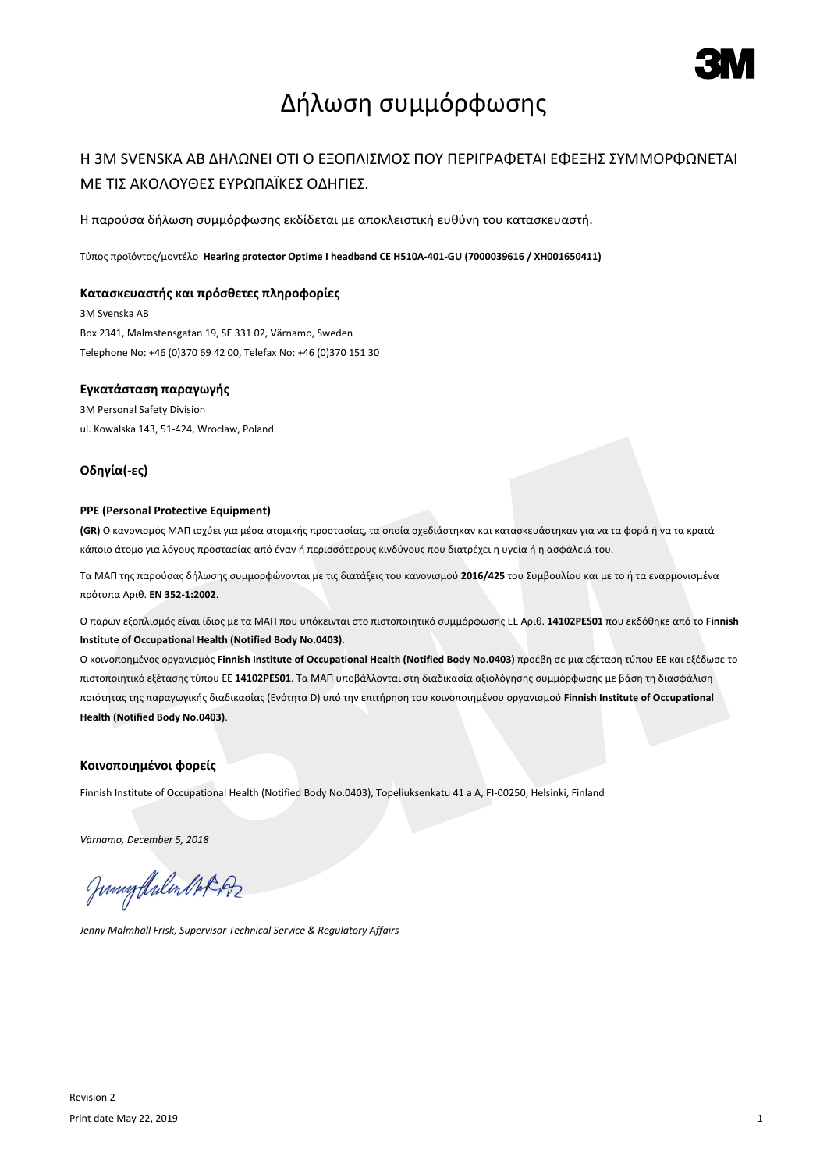

# Δήλωση συμμόρφωσης

### Η 3M SVENSKA AB ΔΗΛΩΝΕΙ ΟΤΙ Ο ΕΞΟΠΛΙΣΜΟΣ ΠΟΥ ΠΕΡΙΓΡΑΦΕΤΑΙ ΕΦΕΞΗΣ ΣΥΜΜΟΡΦΩΝΕΤΑΙ ΜΕ ΤΙΣ ΑΚΟΛΟΥΘΕΣ ΕΥΡΩΠΑΪΚΕΣ ΟΔΗΓΙΕΣ.

Η παρούσα δήλωση συμμόρφωσης εκδίδεται με αποκλειστική ευθύνη του κατασκευαστή.

Τύπος προϊόντος/μοντέλο **Hearing protector Optime I headband CE H510A-401-GU (7000039616 / XH001650411)**

#### **Κατασκευαστής και πρόσθετες πληροφορίες**

3M Svenska AB Box 2341, Malmstensgatan 19, SE 331 02, Värnamo, Sweden Telephone No: +46 (0)370 69 42 00, Telefax No: +46 (0)370 151 30

#### **Εγκατάσταση παραγωγής**

3M Personal Safety Division ul. Kowalska 143, 51-424, Wroclaw, Poland

#### **Οδηγία(-ες)**

#### **PPE (Personal Protective Equipment)**

**(GR)** Ο κανονισμός ΜΑΠ ισχύει για μέσα ατομικής προστασίας, τα οποία σχεδιάστηκαν και κατασκευάστηκαν για να τα φορά ή να τα κρατά κάποιο άτομο για λόγους προστασίας από έναν ή περισσότερους κινδύνους που διατρέχει η υγεία ή η ασφάλειά του.

Τα ΜΑΠ της παρούσας δήλωσης συμμορφώνονται με τις διατάξεις του κανονισμού **2016/425** του Συμβουλίου και με το ή τα εναρµονισµένα πρότυπα Αριθ. **EN 352-1:2002**.

Ο παρών εξοπλισμός είναι ίδιος με τα ΜΑΠ που υπόκεινται στο πιστοποιητικό συμμόρφωσης ΕΕ Αριθ. **14102PES01** που εκδόθηκε από το **Finnish Institute of Occupational Health (Notified Body No.0403)**.

Ο κοινοποημένος οργανισμός **Finnish Institute of Occupational Health (Notified Body No.0403)** προέβη σε μια εξέταση τύπου ΕΕ και εξέδωσε το πιστοποιητικό εξέτασης τύπου ΕΕ **14102PES01**. Τα ΜΑΠ υποβάλλονται στη διαδικασία αξιολόγησης συμμόρφωσης με βάση τη διασφάλιση ποιότητας της παραγωγικής διαδικασίας (Ενότητα D) υπό την επιτήρηση του κοινοποιημένου οργανισμού **Finnish Institute of Occupational Health (Notified Body No.0403)**.

#### **Κοινοποιημένοι φορείς**

Finnish Institute of Occupational Health (Notified Body No.0403), Topeliuksenkatu 41 a A, FI-00250, Helsinki, Finland

*Värnamo, December 5, 2018*

Juniof Arlen Mot 192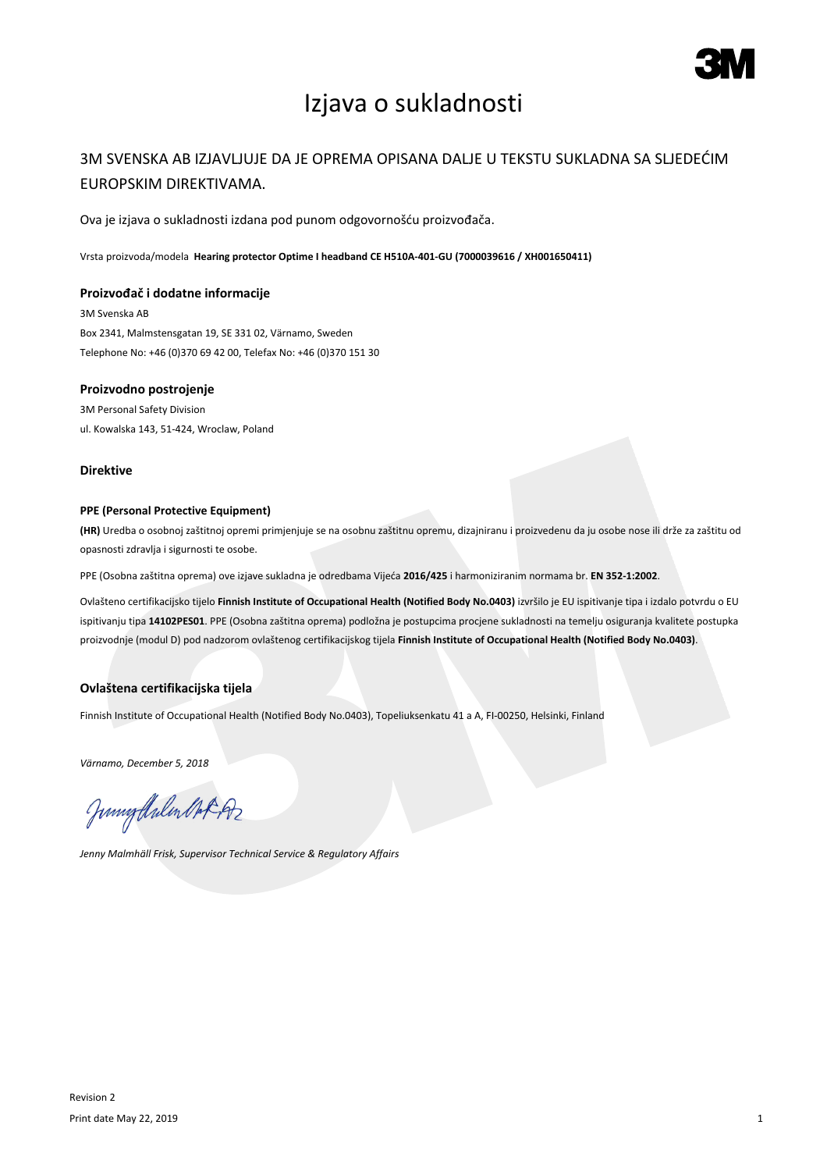

# Izjava o sukladnosti

### 3M SVENSKA AB IZJAVLJUJE DA JE OPREMA OPISANA DALJE U TEKSTU SUKLADNA SA SLJEDEĆIM EUROPSKIM DIREKTIVAMA.

Ova je izjava o sukladnosti izdana pod punom odgovornošću proizvođača.

Vrsta proizvoda/modela **Hearing protector Optime I headband CE H510A-401-GU (7000039616 / XH001650411)**

#### **Proizvođač i dodatne informacije**

3M Svenska AB Box 2341, Malmstensgatan 19, SE 331 02, Värnamo, Sweden Telephone No: +46 (0)370 69 42 00, Telefax No: +46 (0)370 151 30

#### **Proizvodno postrojenje**

3M Personal Safety Division ul. Kowalska 143, 51-424, Wroclaw, Poland

#### **Direktive**

#### **PPE (Personal Protective Equipment)**

**(HR)** Uredba o osobnoj zaštitnoj opremi primjenjuje se na osobnu zaštitnu opremu, dizajniranu i proizvedenu da ju osobe nose ili drže za zaštitu od opasnosti zdravlja i sigurnosti te osobe.

PPE (Osobna zaštitna oprema) ove izjave sukladna je odredbama Vijeća **2016/425** i harmoniziranim normama br. **EN 352-1:2002**.

Ovlašteno certifikacijsko tijelo **Finnish Institute of Occupational Health (Notified Body No.0403)** izvršilo je EU ispitivanje tipa i izdalo potvrdu o EU ispitivanju tipa **14102PES01**. PPE (Osobna zaštitna oprema) podložna je postupcima procjene sukladnosti na temelju osiguranja kvalitete postupka proizvodnje (modul D) pod nadzorom ovlaštenog certifikacijskog tijela **Finnish Institute of Occupational Health (Notified Body No.0403)**.

### **Ovlaštena certifikacijska tijela**

Finnish Institute of Occupational Health (Notified Body No.0403), Topeliuksenkatu 41 a A, FI-00250, Helsinki, Finland

*Värnamo, December 5, 2018*

Junigalulen Oct 192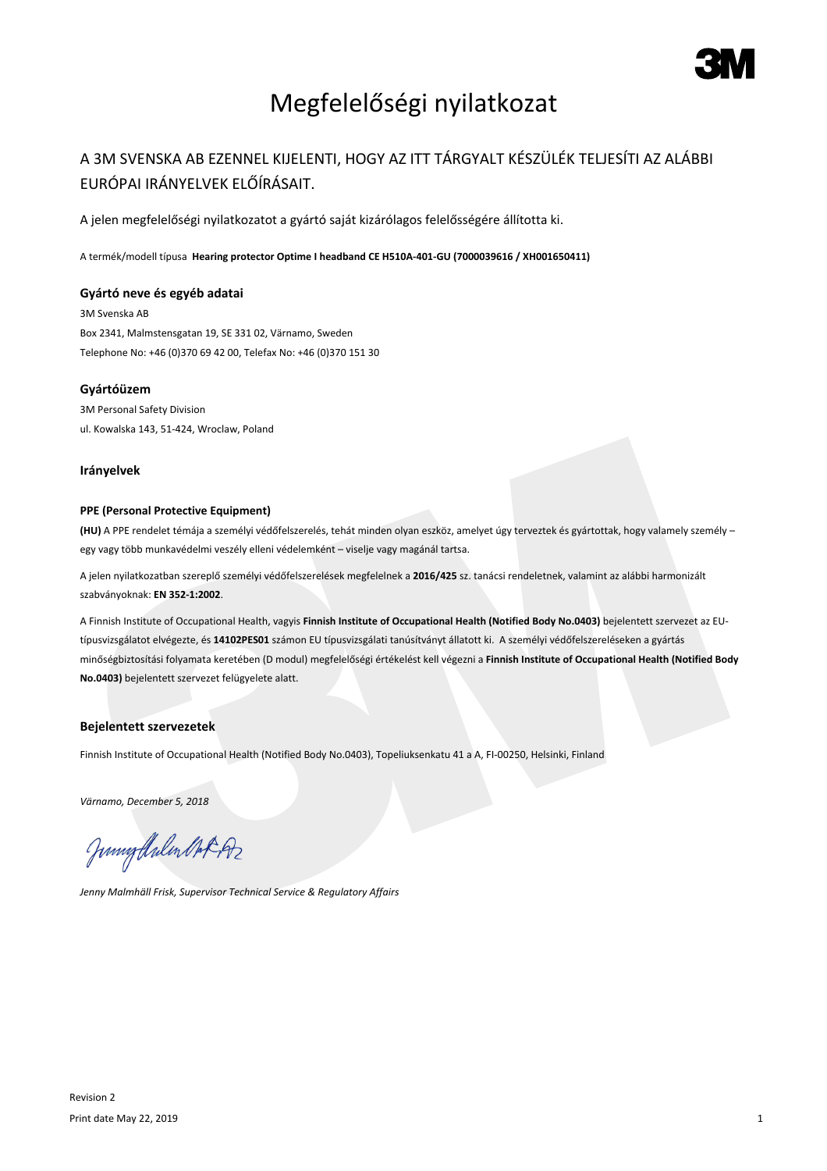

# Megfelelőségi nyilatkozat

## A 3M SVENSKA AB EZENNEL KIJELENTI, HOGY AZ ITT TÁRGYALT KÉSZÜLÉK TELJESÍTI AZ ALÁBBI EURÓPAI IRÁNYELVEK ELŐÍRÁSAIT.

A jelen megfelelőségi nyilatkozatot a gyártó saját kizárólagos felelősségére állította ki.

A termék/modell típusa **Hearing protector Optime I headband CE H510A-401-GU (7000039616 / XH001650411)**

#### **Gyártó neve és egyéb adatai**

3M Svenska AB Box 2341, Malmstensgatan 19, SE 331 02, Värnamo, Sweden Telephone No: +46 (0)370 69 42 00, Telefax No: +46 (0)370 151 30

#### **Gyártóüzem**

3M Personal Safety Division ul. Kowalska 143, 51-424, Wroclaw, Poland

#### **Irányelvek**

#### **PPE (Personal Protective Equipment)**

**(HU)** A PPE rendelet témája a személyi védőfelszerelés, tehát minden olyan eszköz, amelyet úgy terveztek és gyártottak, hogy valamely személy – egy vagy több munkavédelmi veszély elleni védelemként – viselje vagy magánál tartsa.

A jelen nyilatkozatban szereplő személyi védőfelszerelések megfelelnek a **2016/425** sz. tanácsi rendeletnek, valamint az alábbi harmonizált szabványoknak: **EN 352-1:2002**.

A Finnish Institute of Occupational Health, vagyis **Finnish Institute of Occupational Health (Notified Body No.0403)** bejelentett szervezet az EUtípusvizsgálatot elvégezte, és **14102PES01** számon EU típusvizsgálati tanúsítványt állatott ki. A személyi védőfelszereléseken a gyártás minőségbiztosítási folyamata keretében (D modul) megfelelőségi értékelést kell végezni a **Finnish Institute of Occupational Health (Notified Body No.0403)** bejelentett szervezet felügyelete alatt.

#### **Bejelentett szervezetek**

Finnish Institute of Occupational Health (Notified Body No.0403), Topeliuksenkatu 41 a A, FI-00250, Helsinki, Finland

*Värnamo, December 5, 2018*

Junigthalen Mot 192

*Jenny Malmhäll Frisk, Supervisor Technical Service & Regulatory Affairs*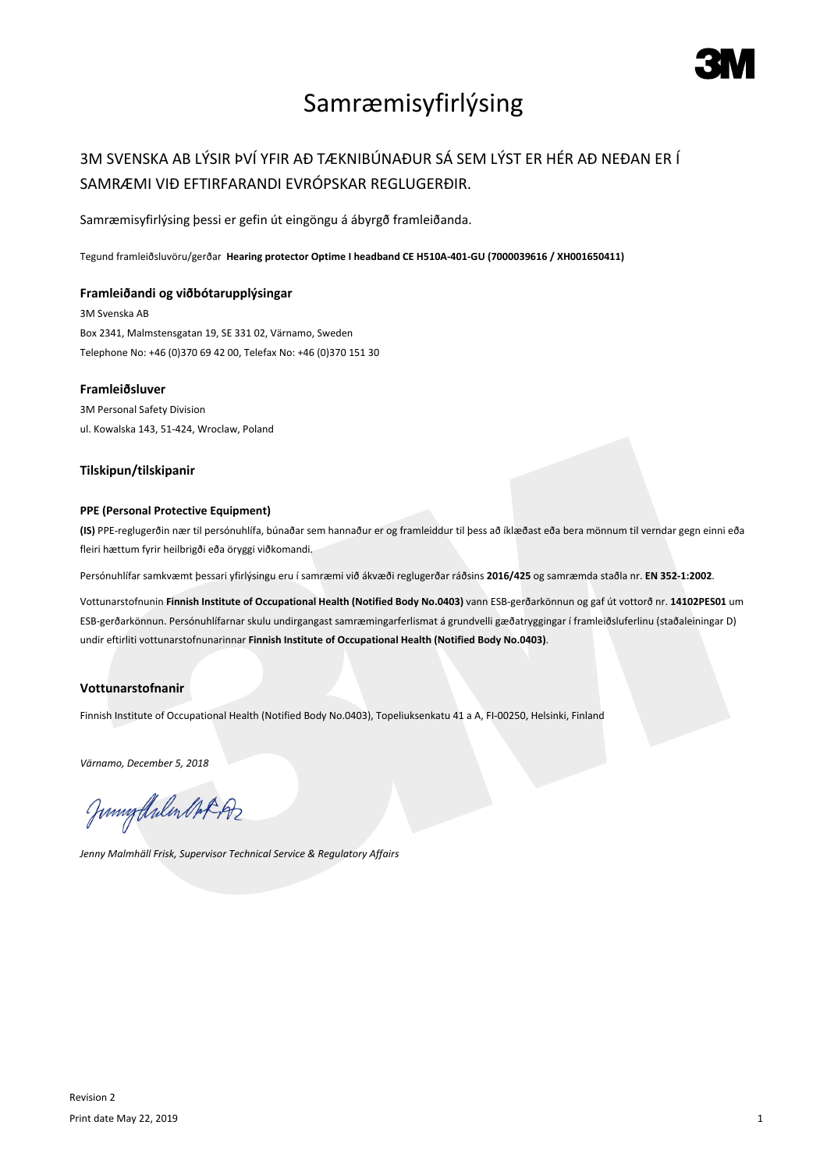

# Samræmisyfirlýsing

## 3M SVENSKA AB LÝSIR ÞVÍ YFIR AÐ TÆKNIBÚNAÐUR SÁ SEM LÝST ER HÉR AÐ NEÐAN ER Í SAMRÆMI VIÐ EFTIRFARANDI EVRÓPSKAR REGLUGERÐIR.

Samræmisyfirlýsing þessi er gefin út eingöngu á ábyrgð framleiðanda.

Tegund framleiðsluvöru/gerðar **Hearing protector Optime I headband CE H510A-401-GU (7000039616 / XH001650411)**

#### **Framleiðandi og viðbótarupplýsingar**

3M Svenska AB Box 2341, Malmstensgatan 19, SE 331 02, Värnamo, Sweden Telephone No: +46 (0)370 69 42 00, Telefax No: +46 (0)370 151 30

### **Framleiðsluver**

3M Personal Safety Division ul. Kowalska 143, 51-424, Wroclaw, Poland

#### **Tilskipun/tilskipanir**

#### **PPE (Personal Protective Equipment)**

**(IS)** PPE-reglugerðin nær til persónuhlífa, búnaðar sem hannaður er og framleiddur til þess að íklæðast eða bera mönnum til verndar gegn einni eða fleiri hættum fyrir heilbrigði eða öryggi viðkomandi.

Persónuhlífar samkvæmt þessari yfirlýsingu eru í samræmi við ákvæði reglugerðar ráðsins **2016/425** og samræmda staðla nr. **EN 352-1:2002**.

Vottunarstofnunin **Finnish Institute of Occupational Health (Notified Body No.0403)** vann ESB-gerðarkönnun og gaf út vottorð nr. **14102PES01** um ESB-gerðarkönnun. Persónuhlífarnar skulu undirgangast samræmingarferlismat á grundvelli gæðatryggingar í framleiðsluferlinu (staðaleiningar D) undir eftirliti vottunarstofnunarinnar **Finnish Institute of Occupational Health (Notified Body No.0403)**.

### **Vottunarstofnanir**

Finnish Institute of Occupational Health (Notified Body No.0403), Topeliuksenkatu 41 a A, FI-00250, Helsinki, Finland

*Värnamo, December 5, 2018*

Junigalulen Oct 192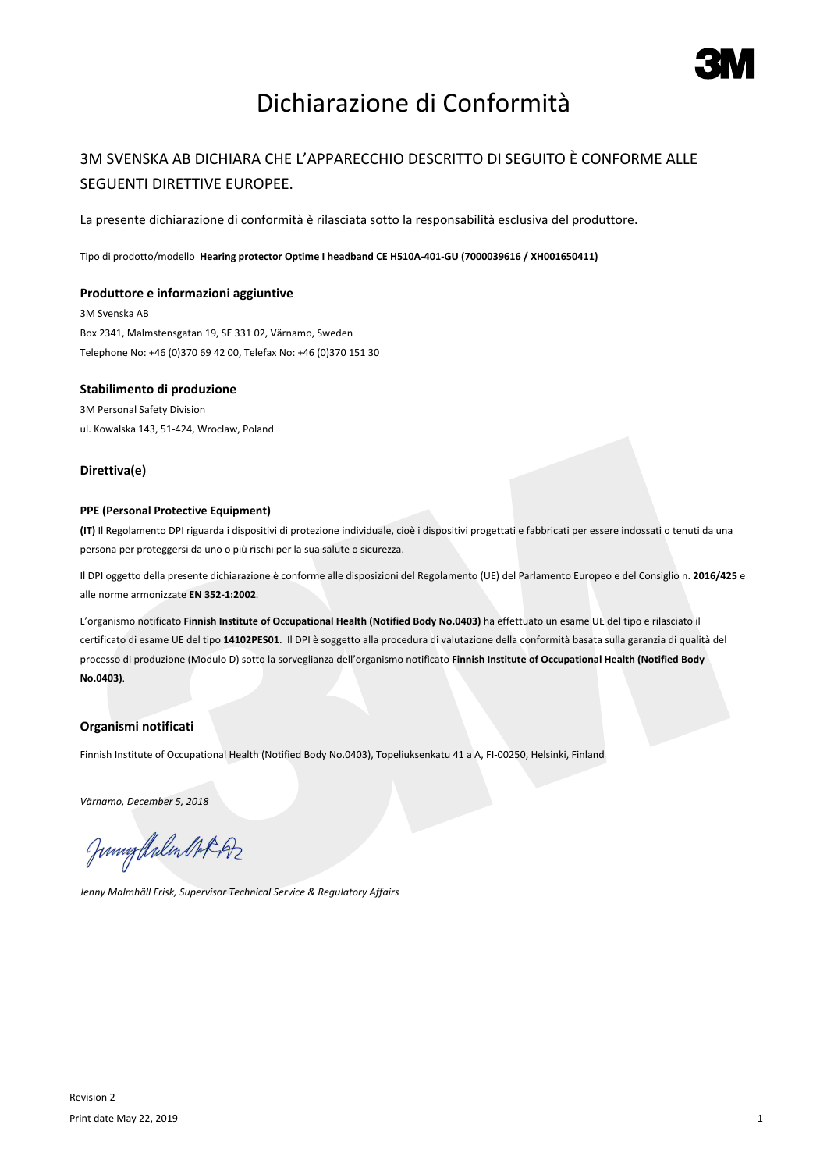

# Dichiarazione di Conformità

### 3M SVENSKA AB DICHIARA CHE L'APPARECCHIO DESCRITTO DI SEGUITO È CONFORME ALLE SEGUENTI DIRETTIVE EUROPEE.

La presente dichiarazione di conformità è rilasciata sotto la responsabilità esclusiva del produttore.

Tipo di prodotto/modello **Hearing protector Optime I headband CE H510A-401-GU (7000039616 / XH001650411)**

#### **Produttore e informazioni aggiuntive**

3M Svenska AB Box 2341, Malmstensgatan 19, SE 331 02, Värnamo, Sweden Telephone No: +46 (0)370 69 42 00, Telefax No: +46 (0)370 151 30

#### **Stabilimento di produzione**

3M Personal Safety Division ul. Kowalska 143, 51-424, Wroclaw, Poland

#### **Direttiva(e)**

#### **PPE (Personal Protective Equipment)**

**(IT)** Il Regolamento DPI riguarda i dispositivi di protezione individuale, cioè i dispositivi progettati e fabbricati per essere indossati o tenuti da una persona per proteggersi da uno o più rischi per la sua salute o sicurezza.

Il DPI oggetto della presente dichiarazione è conforme alle disposizioni del Regolamento (UE) del Parlamento Europeo e del Consiglio n. **2016/425** e alle norme armonizzate **EN 352-1:2002**.

L'organismo notificato **Finnish Institute of Occupational Health (Notified Body No.0403)** ha effettuato un esame UE del tipo e rilasciato il certificato di esame UE del tipo **14102PES01**. Il DPI è soggetto alla procedura di valutazione della conformità basata sulla garanzia di qualità del processo di produzione (Modulo D) sotto la sorveglianza dell'organismo notificato **Finnish Institute of Occupational Health (Notified Body No.0403)**.

### **Organismi notificati**

Finnish Institute of Occupational Health (Notified Body No.0403), Topeliuksenkatu 41 a A, FI-00250, Helsinki, Finland

*Värnamo, December 5, 2018*

Junigthalen Mot 192

*Jenny Malmhäll Frisk, Supervisor Technical Service & Regulatory Affairs*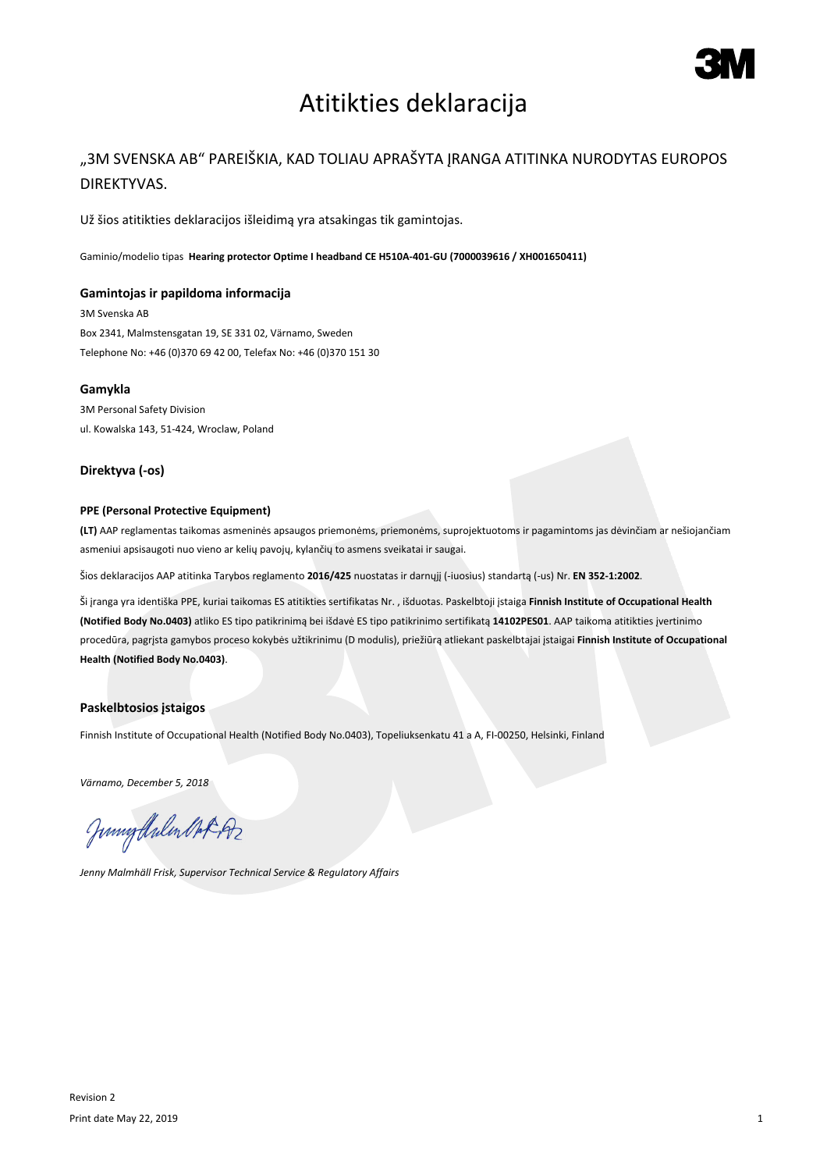

## Atitikties deklaracija

## "3M SVENSKA AB" PAREIŠKIA, KAD TOLIAU APRAŠYTA ĮRANGA ATITINKA NURODYTAS EUROPOS DIREKTYVAS.

Už šios atitikties deklaracijos išleidimą yra atsakingas tik gamintojas.

Gaminio/modelio tipas **Hearing protector Optime I headband CE H510A-401-GU (7000039616 / XH001650411)**

#### **Gamintojas ir papildoma informacija**

3M Svenska AB Box 2341, Malmstensgatan 19, SE 331 02, Värnamo, Sweden Telephone No: +46 (0)370 69 42 00, Telefax No: +46 (0)370 151 30

#### **Gamykla**

3M Personal Safety Division ul. Kowalska 143, 51-424, Wroclaw, Poland

#### **Direktyva (-os)**

#### **PPE (Personal Protective Equipment)**

**(LT)** AAP reglamentas taikomas asmeninės apsaugos priemonėms, priemonėms, suprojektuotoms ir pagamintoms jas dėvinčiam ar nešiojančiam asmeniui apsisaugoti nuo vieno ar kelių pavojų, kylančių to asmens sveikatai ir saugai.

Šios deklaracijos AAP atitinka Tarybos reglamento **2016/425** nuostatas ir darnųjį (-iuosius) standartą (-us) Nr. **EN 352-1:2002**.

Ši įranga yra identiška PPE, kuriai taikomas ES atitikties sertifikatas Nr. , išduotas. Paskelbtoji įstaiga **Finnish Institute of Occupational Health (Notified Body No.0403)** atliko ES tipo patikrinimą bei išdavė ES tipo patikrinimo sertifikatą **14102PES01**. AAP taikoma atitikties įvertinimo procedūra, pagrįsta gamybos proceso kokybės užtikrinimu (D modulis), priežiūrą atliekant paskelbtajai įstaigai **Finnish Institute of Occupational Health (Notified Body No.0403)**.

#### **Paskelbtosios įstaigos**

Finnish Institute of Occupational Health (Notified Body No.0403), Topeliuksenkatu 41 a A, FI-00250, Helsinki, Finland

*Värnamo, December 5, 2018*

Junnytlalen Not Az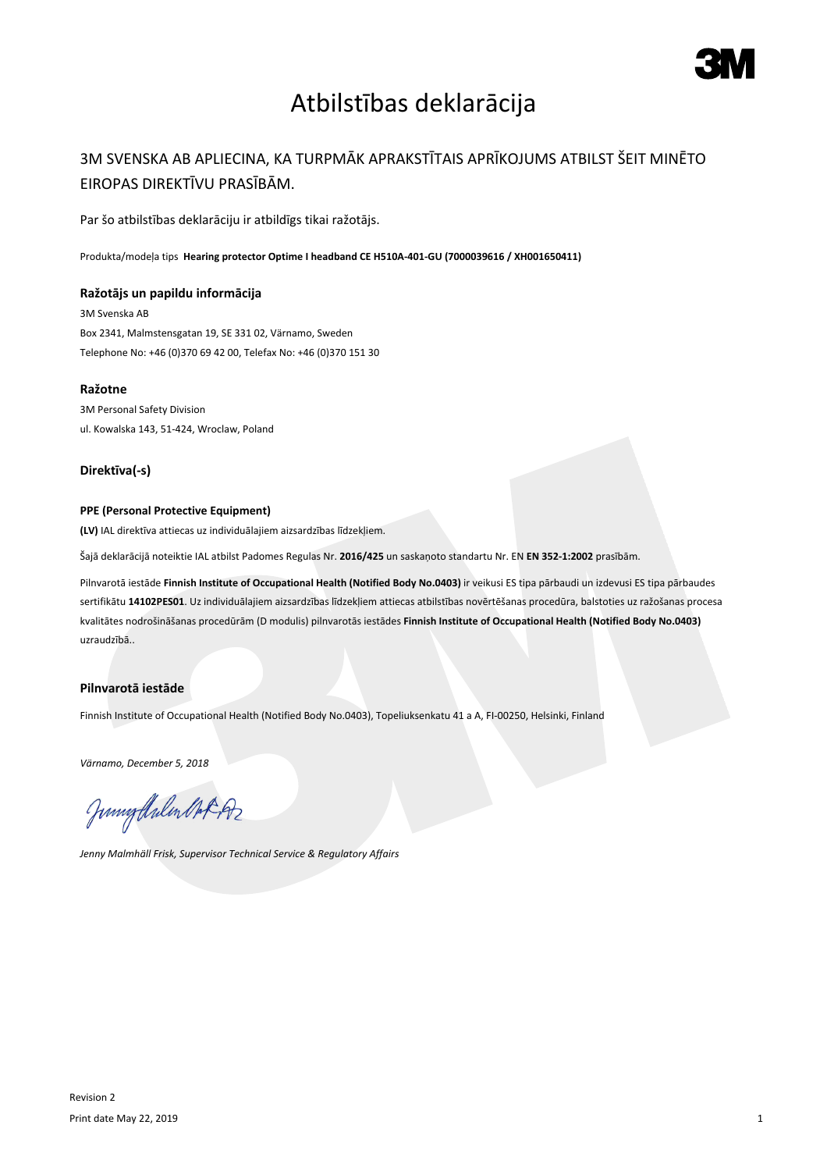

## Atbilstības deklarācija

## 3M SVENSKA AB APLIECINA, KA TURPMĀK APRAKSTĪTAIS APRĪKOJUMS ATBILST ŠEIT MINĒTO EIROPAS DIREKTĪVU PRASĪBĀM.

Par šo atbilstības deklarāciju ir atbildīgs tikai ražotājs.

Produkta/modeļa tips **Hearing protector Optime I headband CE H510A-401-GU (7000039616 / XH001650411)**

#### **Ražotājs un papildu informācija**

3M Svenska AB Box 2341, Malmstensgatan 19, SE 331 02, Värnamo, Sweden Telephone No: +46 (0)370 69 42 00, Telefax No: +46 (0)370 151 30

#### **Ražotne**

3M Personal Safety Division ul. Kowalska 143, 51-424, Wroclaw, Poland

### **Direktīva(-s)**

#### **PPE (Personal Protective Equipment)**

**(LV)** IAL direktīva attiecas uz individuālajiem aizsardzības līdzekļiem.

Šajā deklarācijā noteiktie IAL atbilst Padomes Regulas Nr. **2016/425** un saskaņoto standartu Nr. EN **EN 352-1:2002** prasībām.

Pilnvarotā iestāde **Finnish Institute of Occupational Health (Notified Body No.0403)** ir veikusi ES tipa pārbaudi un izdevusi ES tipa pārbaudes sertifikātu **14102PES01**. Uz individuālajiem aizsardzības līdzekļiem attiecas atbilstības novērtēšanas procedūra, balstoties uz ražošanas procesa kvalitātes nodrošināšanas procedūrām (D modulis) pilnvarotās iestādes **Finnish Institute of Occupational Health (Notified Body No.0403)** uzraudzībā..

### **Pilnvarotā iestāde**

Finnish Institute of Occupational Health (Notified Body No.0403), Topeliuksenkatu 41 a A, FI-00250, Helsinki, Finland

*Värnamo, December 5, 2018*

Junigalulen MAR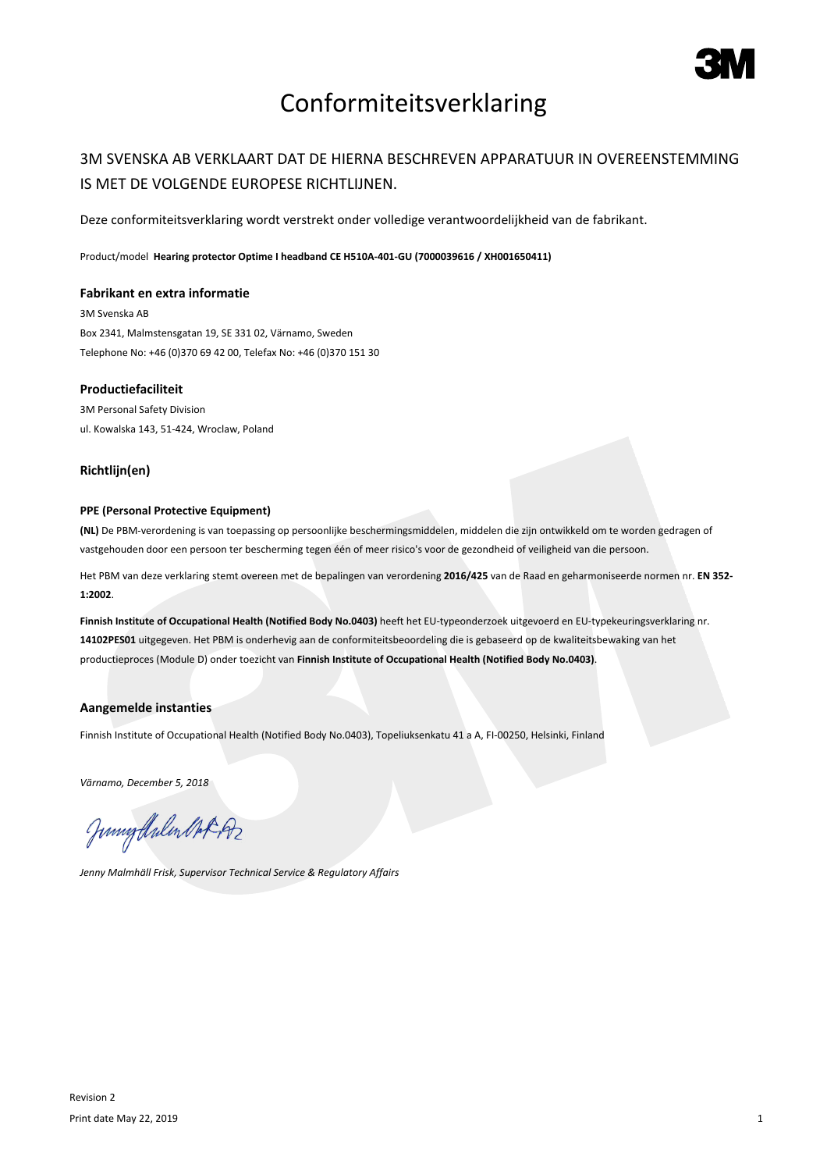

# Conformiteitsverklaring

### 3M SVENSKA AB VERKLAART DAT DE HIERNA BESCHREVEN APPARATUUR IN OVEREENSTEMMING IS MET DE VOLGENDE EUROPESE RICHTLIJNEN.

Deze conformiteitsverklaring wordt verstrekt onder volledige verantwoordelijkheid van de fabrikant.

Product/model **Hearing protector Optime I headband CE H510A-401-GU (7000039616 / XH001650411)**

#### **Fabrikant en extra informatie**

3M Svenska AB Box 2341, Malmstensgatan 19, SE 331 02, Värnamo, Sweden Telephone No: +46 (0)370 69 42 00, Telefax No: +46 (0)370 151 30

### **Productiefaciliteit**

3M Personal Safety Division ul. Kowalska 143, 51-424, Wroclaw, Poland

#### **Richtlijn(en)**

#### **PPE (Personal Protective Equipment)**

**(NL)** De PBM-verordening is van toepassing op persoonlijke beschermingsmiddelen, middelen die zijn ontwikkeld om te worden gedragen of vastgehouden door een persoon ter bescherming tegen één of meer risico's voor de gezondheid of veiligheid van die persoon.

Het PBM van deze verklaring stemt overeen met de bepalingen van verordening **2016/425** van de Raad en geharmoniseerde normen nr. **EN 352- 1:2002**.

**Finnish Institute of Occupational Health (Notified Body No.0403)** heeft het EU-typeonderzoek uitgevoerd en EU-typekeuringsverklaring nr. **14102PES01** uitgegeven. Het PBM is onderhevig aan de conformiteitsbeoordeling die is gebaseerd op de kwaliteitsbewaking van het productieproces (Module D) onder toezicht van **Finnish Institute of Occupational Health (Notified Body No.0403)**.

#### **Aangemelde instanties**

Finnish Institute of Occupational Health (Notified Body No.0403), Topeliuksenkatu 41 a A, FI-00250, Helsinki, Finland

*Värnamo, December 5, 2018*

Junnytlalen Not Az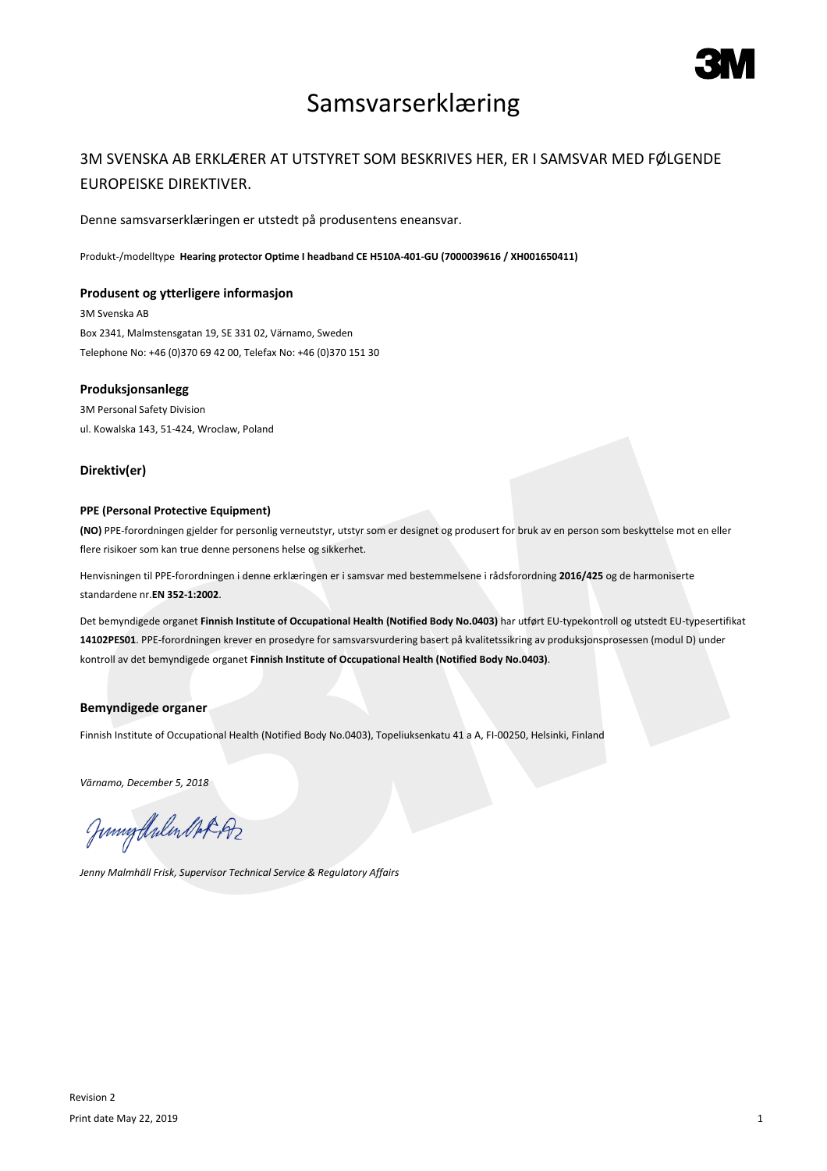

## Samsvarserklæring

### 3M SVENSKA AB ERKLÆRER AT UTSTYRET SOM BESKRIVES HER, ER I SAMSVAR MED FØLGENDE EUROPEISKE DIREKTIVER.

Denne samsvarserklæringen er utstedt på produsentens eneansvar.

Produkt-/modelltype **Hearing protector Optime I headband CE H510A-401-GU (7000039616 / XH001650411)**

#### **Produsent og ytterligere informasjon**

3M Svenska AB Box 2341, Malmstensgatan 19, SE 331 02, Värnamo, Sweden Telephone No: +46 (0)370 69 42 00, Telefax No: +46 (0)370 151 30

#### **Produksjonsanlegg**

3M Personal Safety Division ul. Kowalska 143, 51-424, Wroclaw, Poland

#### **Direktiv(er)**

#### **PPE (Personal Protective Equipment)**

**(NO)** PPE-forordningen gjelder for personlig verneutstyr, utstyr som er designet og produsert for bruk av en person som beskyttelse mot en eller flere risikoer som kan true denne personens helse og sikkerhet.

Henvisningen til PPE-forordningen i denne erklæringen er i samsvar med bestemmelsene i rådsforordning **2016/425** og de harmoniserte standardene nr.**EN 352-1:2002**.

Det bemyndigede organet **Finnish Institute of Occupational Health (Notified Body No.0403)** har utført EU-typekontroll og utstedt EU-typesertifikat **14102PES01**. PPE-forordningen krever en prosedyre for samsvarsvurdering basert på kvalitetssikring av produksjonsprosessen (modul D) under kontroll av det bemyndigede organet **Finnish Institute of Occupational Health (Notified Body No.0403)**.

### **Bemyndigede organer**

Finnish Institute of Occupational Health (Notified Body No.0403), Topeliuksenkatu 41 a A, FI-00250, Helsinki, Finland

*Värnamo, December 5, 2018*

Junnytlalen Not Az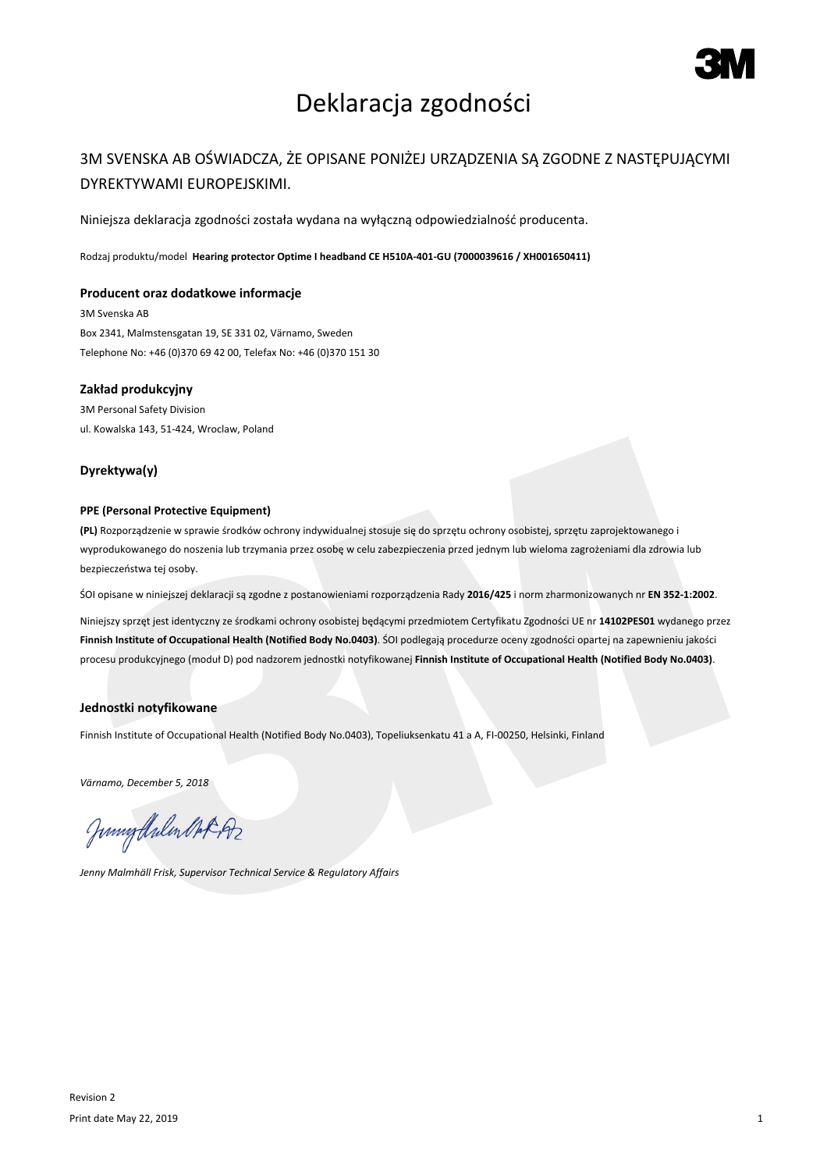

# Deklaracja zgodności

### 3M SVENSKA AB OŚWIADCZA, ŻE OPISANE PONIŻEJ URZĄDZENIA SĄ ZGODNE Z NASTĘPUJĄCYMI DYREKTYWAMI EUROPEJSKIMI.

Niniejsza deklaracja zgodności została wydana na wyłączną odpowiedzialność producenta.

Rodzaj produktu/model **Hearing protector Optime I headband CE H510A-401-GU (7000039616 / XH001650411)**

#### **Producent oraz dodatkowe informacje**

3M Svenska AB Box 2341, Malmstensgatan 19, SE 331 02, Värnamo, Sweden Telephone No: +46 (0)370 69 42 00, Telefax No: +46 (0)370 151 30

#### **Zakład produkcyjny**

3M Personal Safety Division ul. Kowalska 143, 51-424, Wroclaw, Poland

#### **Dyrektywa(y)**

#### **PPE (Personal Protective Equipment)**

**(PL)** Rozporządzenie w sprawie środków ochrony indywidualnej stosuje się do sprzętu ochrony osobistej, sprzętu zaprojektowanego i wyprodukowanego do noszenia lub trzymania przez osobę w celu zabezpieczenia przed jednym lub wieloma zagrożeniami dla zdrowia lub bezpieczeństwa tej osoby.

ŚOI opisane w niniejszej deklaracji są zgodne z postanowieniami rozporządzenia Rady **2016/425** i norm zharmonizowanych nr **EN 352-1:2002**.

Niniejszy sprzęt jest identyczny ze środkami ochrony osobistej będącymi przedmiotem Certyfikatu Zgodności UE nr **14102PES01** wydanego przez **Finnish Institute of Occupational Health (Notified Body No.0403)**. ŚOI podlegają procedurze oceny zgodności opartej na zapewnieniu jakości procesu produkcyjnego (moduł D) pod nadzorem jednostki notyfikowanej **Finnish Institute of Occupational Health (Notified Body No.0403)**.

#### **Jednostki notyfikowane**

Finnish Institute of Occupational Health (Notified Body No.0403), Topeliuksenkatu 41 a A, FI-00250, Helsinki, Finland

*Värnamo, December 5, 2018*

Junnytlalen Not Az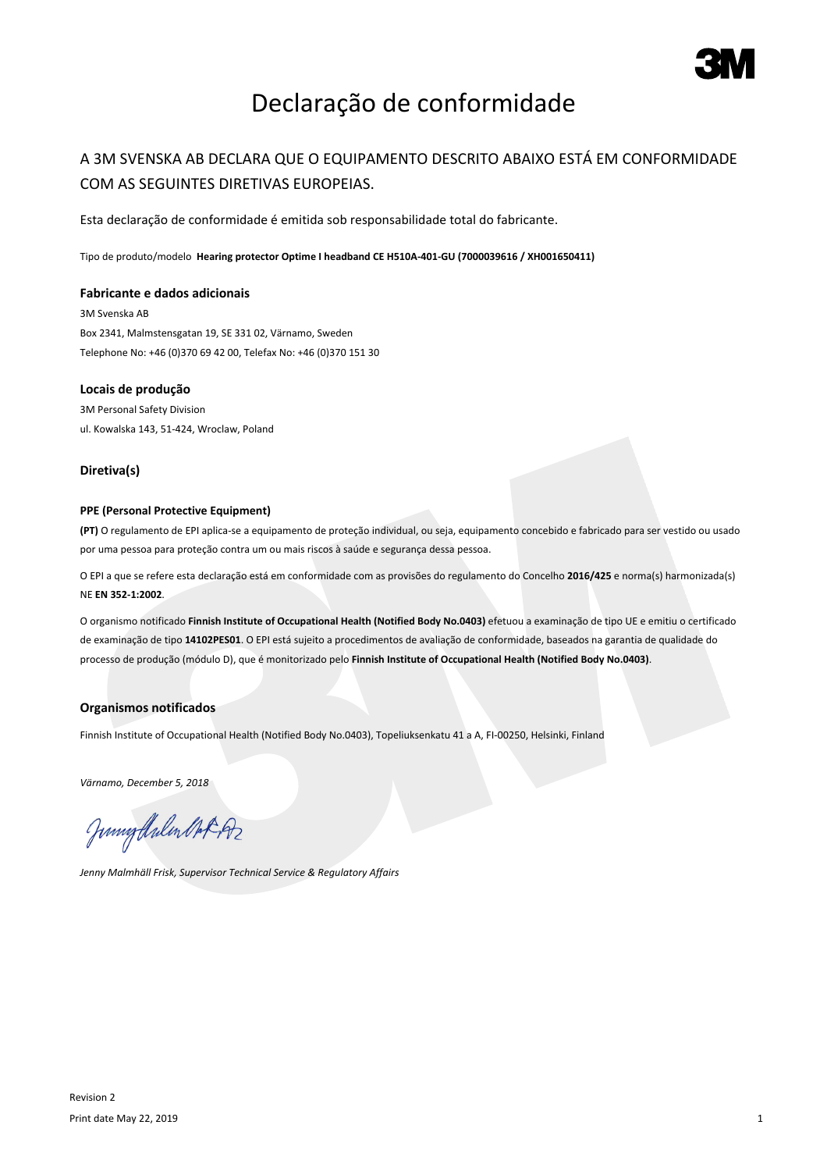

# Declaração de conformidade

## A 3M SVENSKA AB DECLARA QUE O EQUIPAMENTO DESCRITO ABAIXO ESTÁ EM CONFORMIDADE COM AS SEGUINTES DIRETIVAS EUROPEIAS.

Esta declaração de conformidade é emitida sob responsabilidade total do fabricante.

Tipo de produto/modelo **Hearing protector Optime I headband CE H510A-401-GU (7000039616 / XH001650411)**

#### **Fabricante e dados adicionais**

3M Svenska AB Box 2341, Malmstensgatan 19, SE 331 02, Värnamo, Sweden Telephone No: +46 (0)370 69 42 00, Telefax No: +46 (0)370 151 30

#### **Locais de produção**

3M Personal Safety Division ul. Kowalska 143, 51-424, Wroclaw, Poland

#### **Diretiva(s)**

#### **PPE (Personal Protective Equipment)**

**(PT)** O regulamento de EPI aplica-se a equipamento de proteção individual, ou seja, equipamento concebido e fabricado para ser vestido ou usado por uma pessoa para proteção contra um ou mais riscos à saúde e segurança dessa pessoa.

O EPI a que se refere esta declaração está em conformidade com as provisões do regulamento do Concelho **2016/425** e norma(s) harmonizada(s) NE **EN 352-1:2002**.

O organismo notificado **Finnish Institute of Occupational Health (Notified Body No.0403)** efetuou a examinação de tipo UE e emitiu o certificado de examinação de tipo **14102PES01**. O EPI está sujeito a procedimentos de avaliação de conformidade, baseados na garantia de qualidade do processo de produção (módulo D), que é monitorizado pelo **Finnish Institute of Occupational Health (Notified Body No.0403)**.

#### **Organismos notificados**

Finnish Institute of Occupational Health (Notified Body No.0403), Topeliuksenkatu 41 a A, FI-00250, Helsinki, Finland

*Värnamo, December 5, 2018*

Junnytlalen Not Az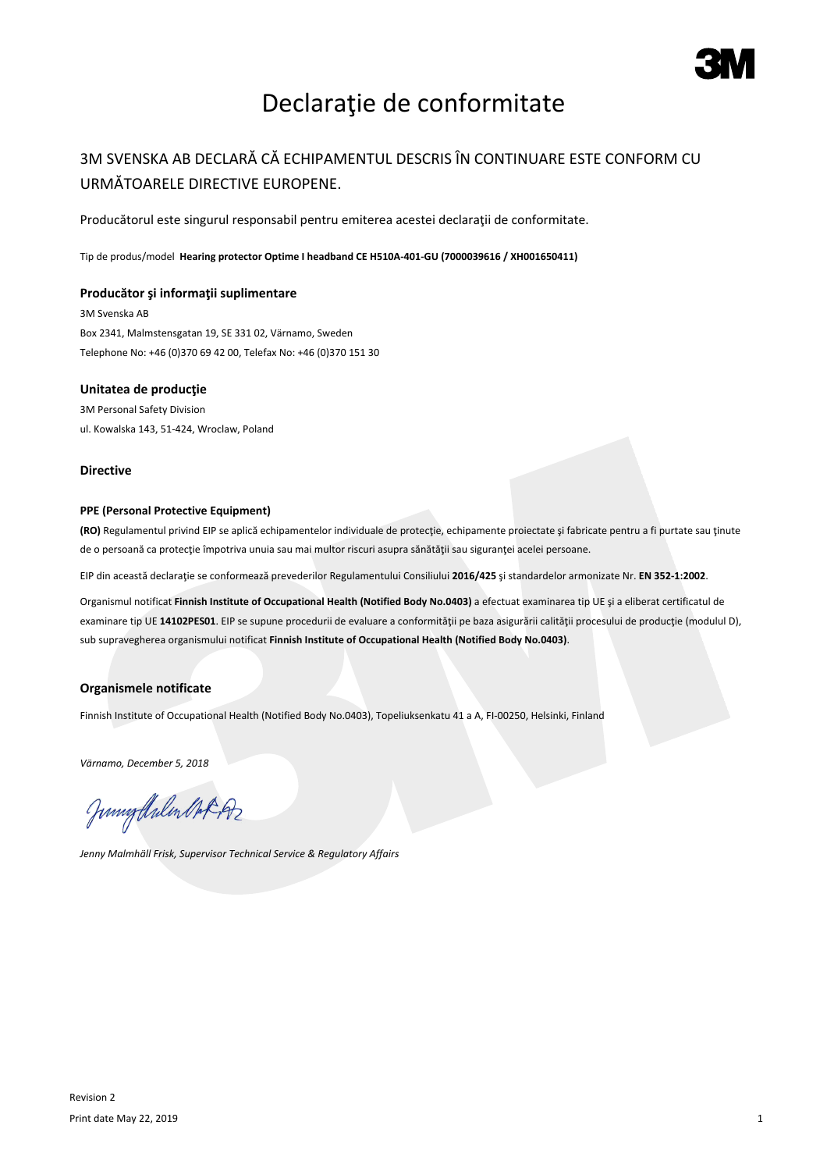

# Declaraţie de conformitate

## 3M SVENSKA AB DECLARĂ CĂ ECHIPAMENTUL DESCRIS ÎN CONTINUARE ESTE CONFORM CU URMĂTOARELE DIRECTIVE EUROPENE.

Producătorul este singurul responsabil pentru emiterea acestei declarații de conformitate.

Tip de produs/model **Hearing protector Optime I headband CE H510A-401-GU (7000039616 / XH001650411)**

#### **Producător şi informaţii suplimentare**

3M Svenska AB Box 2341, Malmstensgatan 19, SE 331 02, Värnamo, Sweden Telephone No: +46 (0)370 69 42 00, Telefax No: +46 (0)370 151 30

#### **Unitatea de producţie**

3M Personal Safety Division ul. Kowalska 143, 51-424, Wroclaw, Poland

#### **Directive**

#### **PPE (Personal Protective Equipment)**

**(RO)** Regulamentul privind EIP se aplică echipamentelor individuale de protecţie, echipamente proiectate şi fabricate pentru a fi purtate sau ţinute de o persoană ca protecţie împotriva unuia sau mai multor riscuri asupra sănătăţii sau siguranţei acelei persoane.

EIP din această declaraţie se conformează prevederilor Regulamentului Consiliului **2016/425** şi standardelor armonizate Nr. **EN 352-1:2002**.

Organismul notificat **Finnish Institute of Occupational Health (Notified Body No.0403)** a efectuat examinarea tip UE şi a eliberat certificatul de examinare tip UE **14102PES01**. EIP se supune procedurii de evaluare a conformităţii pe baza asigurării calităţii procesului de producţie (modulul D), sub supravegherea organismului notificat **Finnish Institute of Occupational Health (Notified Body No.0403)**.

### **Organismele notificate**

Finnish Institute of Occupational Health (Notified Body No.0403), Topeliuksenkatu 41 a A, FI-00250, Helsinki, Finland

*Värnamo, December 5, 2018*

Junigalulen Oct 192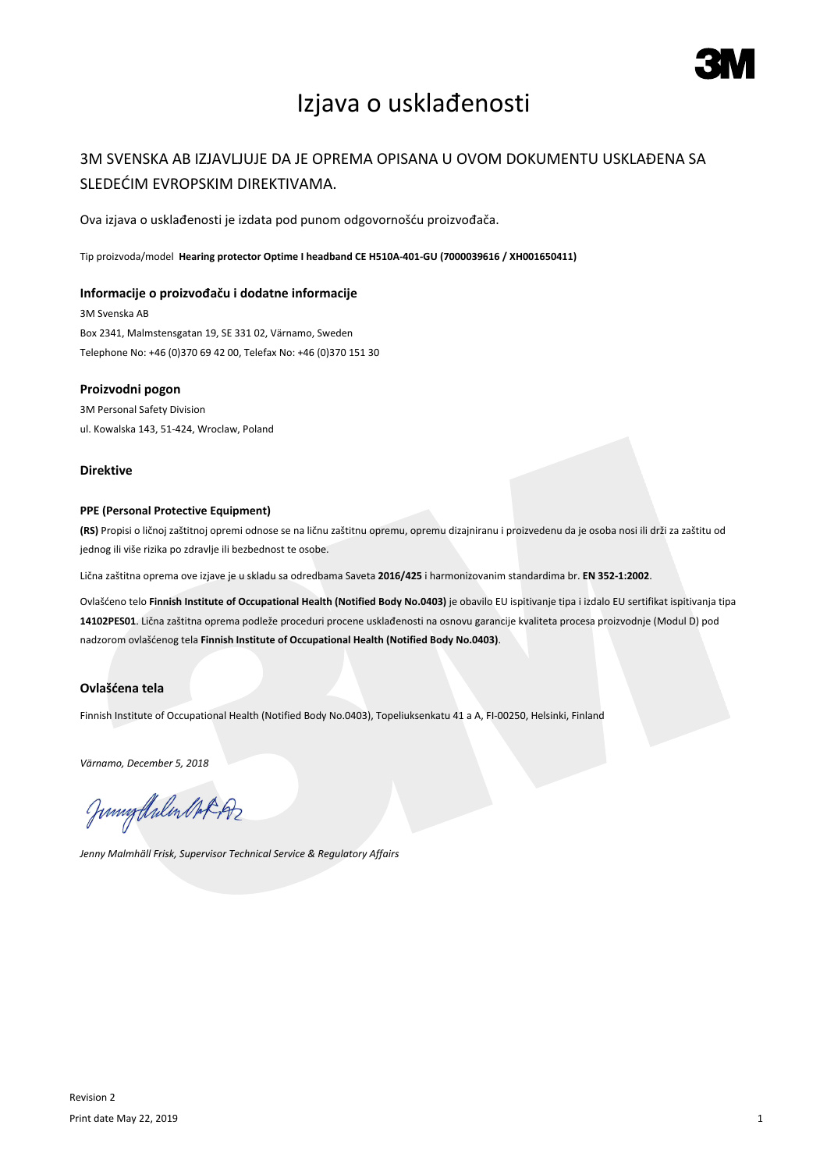

# Izjava o usklađenosti

## 3M SVENSKA AB IZJAVLJUJE DA JE OPREMA OPISANA U OVOM DOKUMENTU USKLAĐENA SA SLEDEĆIM EVROPSKIM DIREKTIVAMA.

Ova izjava o usklađenosti je izdata pod punom odgovornošću proizvođača.

Tip proizvoda/model **Hearing protector Optime I headband CE H510A-401-GU (7000039616 / XH001650411)**

#### **Informacije o proizvođaču i dodatne informacije**

3M Svenska AB Box 2341, Malmstensgatan 19, SE 331 02, Värnamo, Sweden Telephone No: +46 (0)370 69 42 00, Telefax No: +46 (0)370 151 30

#### **Proizvodni pogon**

3M Personal Safety Division ul. Kowalska 143, 51-424, Wroclaw, Poland

#### **Direktive**

#### **PPE (Personal Protective Equipment)**

**(RS)** Propisi o ličnoj zaštitnoj opremi odnose se na ličnu zaštitnu opremu, opremu dizajniranu i proizvedenu da je osoba nosi ili drži za zaštitu od jednog ili više rizika po zdravlje ili bezbednost te osobe.

Lična zaštitna oprema ove izjave je u skladu sa odredbama Saveta **2016/425** i harmonizovanim standardima br. **EN 352-1:2002**.

Ovlašćeno telo **Finnish Institute of Occupational Health (Notified Body No.0403)** je obavilo EU ispitivanje tipa i izdalo EU sertifikat ispitivanja tipa **14102PES01**. Lična zaštitna oprema podleže proceduri procene usklađenosti na osnovu garancije kvaliteta procesa proizvodnje (Modul D) pod nadzorom ovlašćenog tela **Finnish Institute of Occupational Health (Notified Body No.0403)**.

#### **Ovlašćena tela**

Finnish Institute of Occupational Health (Notified Body No.0403), Topeliuksenkatu 41 a A, FI-00250, Helsinki, Finland

*Värnamo, December 5, 2018*

Junigalulen MAR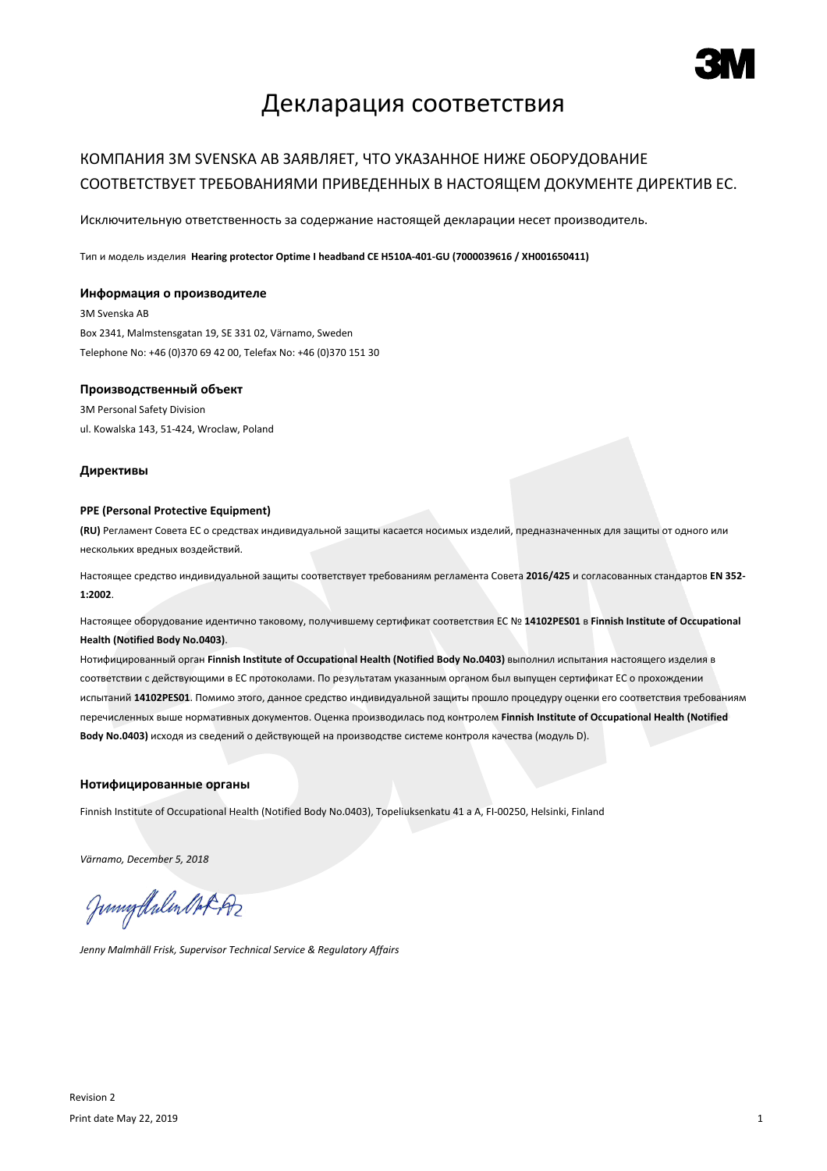

## Декларация соответствия

## КОМПАНИЯ 3M SVENSKA AB ЗАЯВЛЯЕТ, ЧТО УКАЗАННОЕ НИЖЕ ОБОРУДОВАНИЕ СООТВЕТСТВУЕТ ТРЕБОВАНИЯМИ ПРИВЕДЕННЫХ В НАСТОЯЩЕМ ДОКУМЕНТЕ ДИРЕКТИВ ЕС.

Исключительную ответственность за содержание настоящей декларации несет производитель.

Тип и модель изделия **Hearing protector Optime I headband CE H510A-401-GU (7000039616 / XH001650411)**

#### **Информация о производителе**

3M Svenska AB Box 2341, Malmstensgatan 19, SE 331 02, Värnamo, Sweden Telephone No: +46 (0)370 69 42 00, Telefax No: +46 (0)370 151 30

#### **Производственный объект**

3M Personal Safety Division ul. Kowalska 143, 51-424, Wroclaw, Poland

#### **Директивы**

#### **PPE (Personal Protective Equipment)**

**(RU)** Регламент Совета ЕС о средствах индивидуальной защиты касается носимых изделий, предназначенных для защиты от одного или нескольких вредных воздействий.

Настоящее средство индивидуальной защиты соответствует требованиям регламента Совета **2016/425** и согласованных стандартов **EN 352- 1:2002**.

Настоящее оборудование идентично таковому, получившему сертификат соответствия ЕС № **14102PES01** в **Finnish Institute of Occupational Health (Notified Body No.0403)**.

Нотифицированный орган **Finnish Institute of Occupational Health (Notified Body No.0403)** выполнил испытания настоящего изделия в соответствии с действующими в ЕС протоколами. По результатам указанным органом был выпущен сертификат ЕС о прохождении испытаний **14102PES01**. Помимо этого, данное средство индивидуальной защиты прошло процедуру оценки его соответствия требованиям перечисленных выше нормативных документов. Оценка производилась под контролем **Finnish Institute of Occupational Health (Notified Body No.0403)** исходя из сведений о действующей на производстве системе контроля качества (модуль D).

#### **Нотифицированные органы**

Finnish Institute of Occupational Health (Notified Body No.0403), Topeliuksenkatu 41 a A, FI-00250, Helsinki, Finland

*Värnamo, December 5, 2018*

Junnythulen Not Az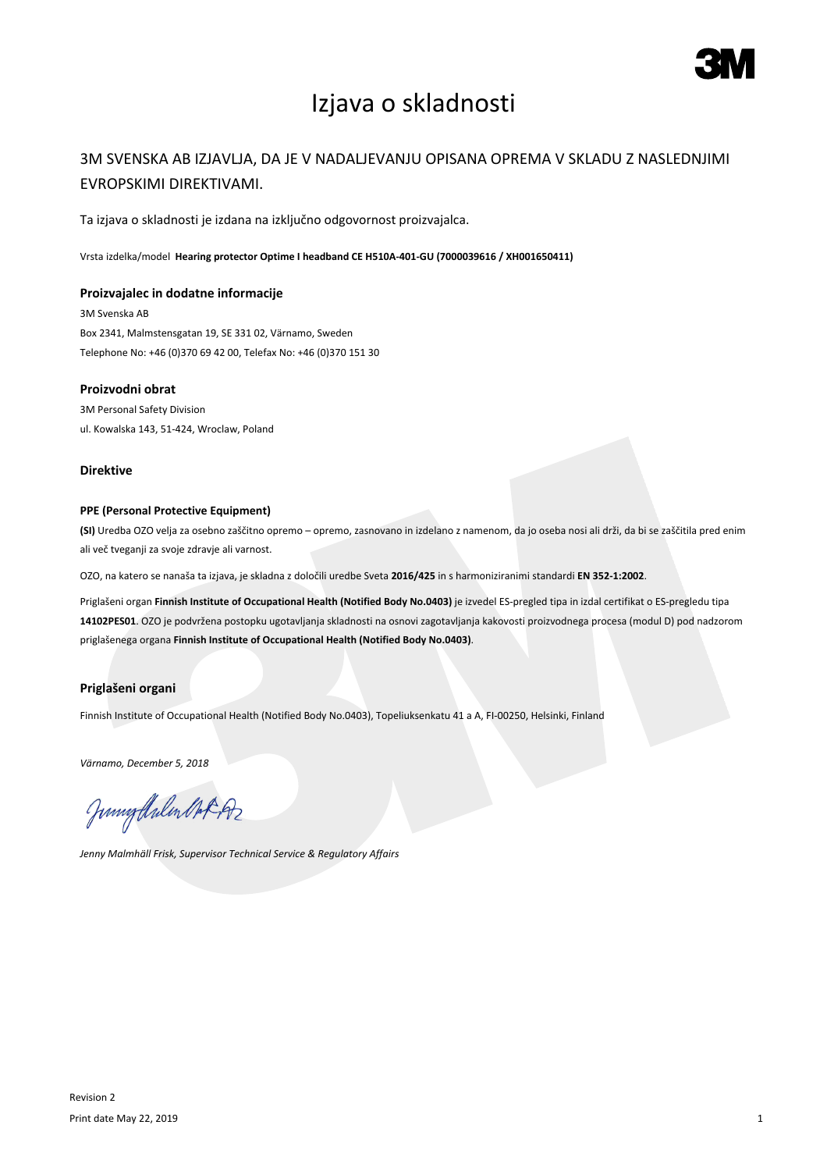

# Izjava o skladnosti

### 3M SVENSKA AB IZJAVLJA, DA JE V NADALJEVANJU OPISANA OPREMA V SKLADU Z NASLEDNJIMI EVROPSKIMI DIREKTIVAMI.

Ta izjava o skladnosti je izdana na izključno odgovornost proizvajalca.

Vrsta izdelka/model **Hearing protector Optime I headband CE H510A-401-GU (7000039616 / XH001650411)**

#### **Proizvajalec in dodatne informacije**

3M Svenska AB Box 2341, Malmstensgatan 19, SE 331 02, Värnamo, Sweden Telephone No: +46 (0)370 69 42 00, Telefax No: +46 (0)370 151 30

#### **Proizvodni obrat**

3M Personal Safety Division ul. Kowalska 143, 51-424, Wroclaw, Poland

#### **Direktive**

#### **PPE (Personal Protective Equipment)**

**(SI)** Uredba OZO velja za osebno zaščitno opremo – opremo, zasnovano in izdelano z namenom, da jo oseba nosi ali drži, da bi se zaščitila pred enim ali več tveganji za svoje zdravje ali varnost.

OZO, na katero se nanaša ta izjava, je skladna z določili uredbe Sveta **2016/425** in s harmoniziranimi standardi **EN 352-1:2002**.

Priglašeni organ **Finnish Institute of Occupational Health (Notified Body No.0403)** je izvedel ES-pregled tipa in izdal certifikat o ES-pregledu tipa **14102PES01**. OZO je podvržena postopku ugotavljanja skladnosti na osnovi zagotavljanja kakovosti proizvodnega procesa (modul D) pod nadzorom priglašenega organa **Finnish Institute of Occupational Health (Notified Body No.0403)**.

### **Priglašeni organi**

Finnish Institute of Occupational Health (Notified Body No.0403), Topeliuksenkatu 41 a A, FI-00250, Helsinki, Finland

*Värnamo, December 5, 2018*

Junigalulen MAR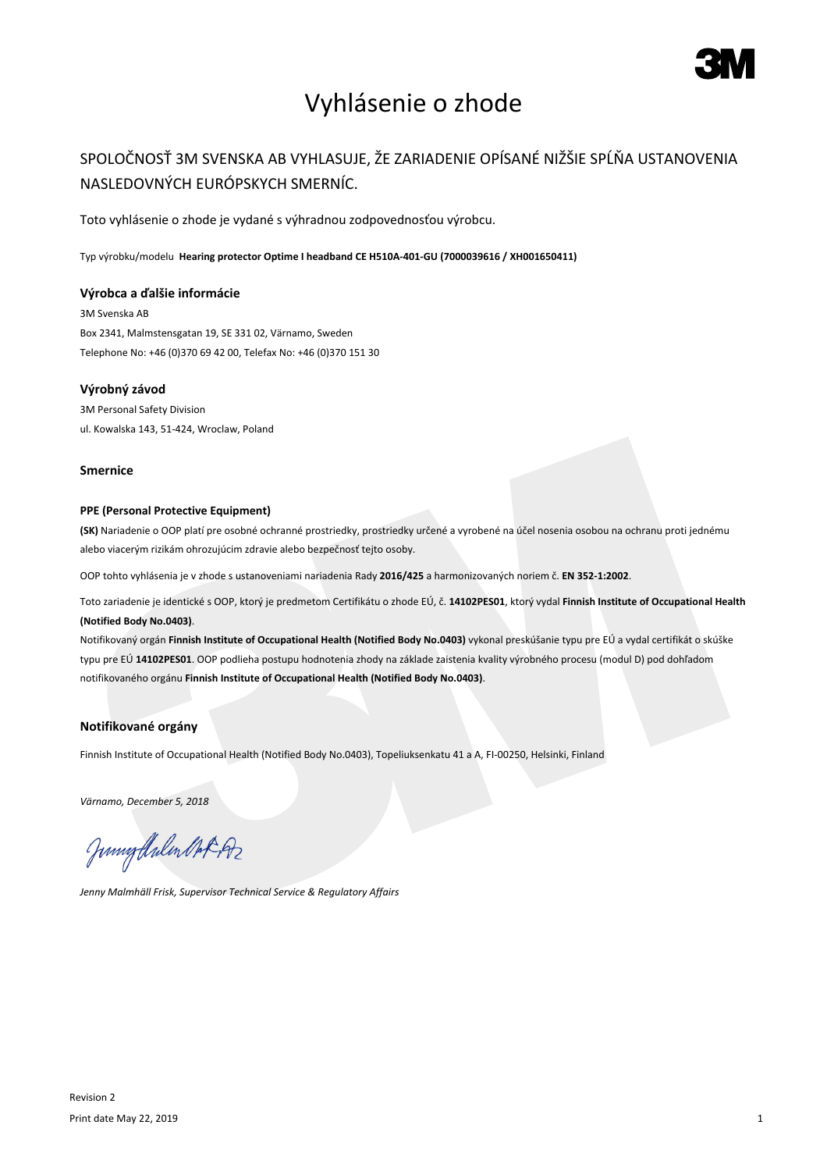

# Vyhlásenie o zhode

## SPOLOČNOSŤ 3M SVENSKA AB VYHLASUJE, ŽE ZARIADENIE OPÍSANÉ NIŽŠIE SPĹŇA USTANOVENIA NASLEDOVNÝCH EURÓPSKYCH SMERNÍC.

Toto vyhlásenie o zhode je vydané s výhradnou zodpovednosťou výrobcu.

Typ výrobku/modelu **Hearing protector Optime I headband CE H510A-401-GU (7000039616 / XH001650411)**

#### **Výrobca a ďalšie informácie**

3M Svenska AB Box 2341, Malmstensgatan 19, SE 331 02, Värnamo, Sweden Telephone No: +46 (0)370 69 42 00, Telefax No: +46 (0)370 151 30

#### **Výrobný závod**

3M Personal Safety Division ul. Kowalska 143, 51-424, Wroclaw, Poland

#### **Smernice**

#### **PPE (Personal Protective Equipment)**

**(SK)** Nariadenie o OOP platí pre osobné ochranné prostriedky, prostriedky určené a vyrobené na účel nosenia osobou na ochranu proti jednému alebo viacerým rizikám ohrozujúcim zdravie alebo bezpečnosť tejto osoby.

OOP tohto vyhlásenia je v zhode s ustanoveniami nariadenia Rady **2016/425** a harmonizovaných noriem č. **EN 352-1:2002**.

Toto zariadenie je identické s OOP, ktorý je predmetom Certifikátu o zhode EÚ, č. **14102PES01**, ktorý vydal **Finnish Institute of Occupational Health (Notified Body No.0403)**.

Notifikovaný orgán **Finnish Institute of Occupational Health (Notified Body No.0403)** vykonal preskúšanie typu pre EÚ a vydal certifikát o skúške typu pre EÚ **14102PES01**. OOP podlieha postupu hodnotenia zhody na základe zaistenia kvality výrobného procesu (modul D) pod dohľadom notifikovaného orgánu **Finnish Institute of Occupational Health (Notified Body No.0403)**.

#### **Notifikované orgány**

Finnish Institute of Occupational Health (Notified Body No.0403), Topeliuksenkatu 41 a A, FI-00250, Helsinki, Finland

*Värnamo, December 5, 2018*

Junigthalen Mot 192

*Jenny Malmhäll Frisk, Supervisor Technical Service & Regulatory Affairs*